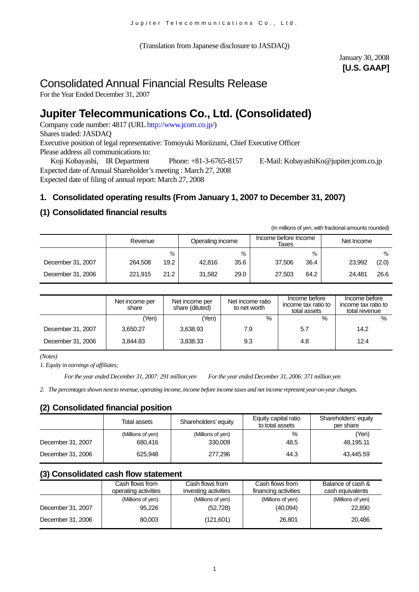(Translation from Japanese disclosure to JASDAQ)

# January 30, 2008 **[U.S. GAAP]**

# Consolidated Annual Financial Results Release

For the Year Ended December 31, 2007

# **Jupiter Telecommunications Co., Ltd. (Consolidated)**

Company code number: 4817 (URL [http://www.jcom.co.jp/](http://www.jcomxxxxxxxxx.co.jp/))

Shares traded: JASDAQ

Executive position of legal representative: Tomoyuki Moriizumi, Chief Executive Officer Please address all communications to:

 Koji Kobayashi, IR Department Phone: +81-3-6765-8157 E-Mail: [KobayashiKo@jupiter.jcom.co.jp](mailto:KobayashiKo@jupiter.jcom.co.jp) Expected date of Annual Shareholder's meeting : March 27, 2008 Expected date of filing of annual report: March 27, 2008

# **1. Consolidated operating results (From January 1, 2007 to December 31, 2007)**

### **(1) Consolidated financial results**

(In millions of yen, with fractional amounts rounded)

|                   | Revenue |      | Operating income |      | Income before Income<br>Taxes |               | Net Income |       |
|-------------------|---------|------|------------------|------|-------------------------------|---------------|------------|-------|
|                   |         | $\%$ |                  | $\%$ |                               | $\frac{0}{0}$ |            | $\%$  |
| December 31, 2007 | 264.508 | 19.2 | 42.816           | 35.6 | 37.506                        | 36.4          | 23,992     | (2.0) |
| December 31, 2006 | 221.915 | 21.2 | 31,582           | 29.0 | 27.503                        | 64.2          | 24.481     | 26.6  |

|                   | Net income per<br>share | Net income per<br>share (diluted) | Net income ratio<br>to net worth | Income before<br>income tax ratio to<br>total assets | Income before<br>income tax ratio to<br>total revenue |
|-------------------|-------------------------|-----------------------------------|----------------------------------|------------------------------------------------------|-------------------------------------------------------|
|                   | Yen)                    | 'Yen)                             | $\%$                             | %                                                    | %                                                     |
| December 31, 2007 | 3,650.27                | 3,638.93                          | 7.9                              | 5.7                                                  | 14.2                                                  |
| December 31, 2006 | 3.844.83                | 3,838.33                          | 9.3                              | 4.8                                                  | 12.4                                                  |

*(Notes)* 

*1. Equity in earnings of affiliates;*

*For the year ended December 31, 2007: 291 million yen For the year ended December 31, 2006: 371 million yen*

*2. The percentages shown next to revenue, operating income, income before income taxes and net income represent year-on-year changes.*

### **(2) Consolidated financial position**

|                   | Total assets      | Shareholders' equity | Equity capital ratio<br>to total assets | Shareholders' equity<br>per share |  |
|-------------------|-------------------|----------------------|-----------------------------------------|-----------------------------------|--|
|                   | (Millions of yen) | (Millions of yen)    | %                                       | (Yen)                             |  |
| December 31, 2007 | 680.416           | 330,009              | 48.5                                    | 48,195.11                         |  |
| December 31, 2006 | 625.948           | 277.296              | 44.3                                    | 43.445.59                         |  |

#### **(3) Consolidated cash flow statement**

|                   | Cash flows from      | Cash flows from      | Cash flows from      | Balance of cash & |
|-------------------|----------------------|----------------------|----------------------|-------------------|
|                   | operating activities | investing activities | financing activities | cash equivalents  |
| December 31, 2007 | (Millions of yen)    | (Millions of yen)    | (Millions of yen)    | (Millions of yen) |
|                   | 95.226               | (52, 728)            | (40,094)             | 22,890            |
| December 31, 2006 | 80,003               | (121,601)            | 26,801               | 20.486            |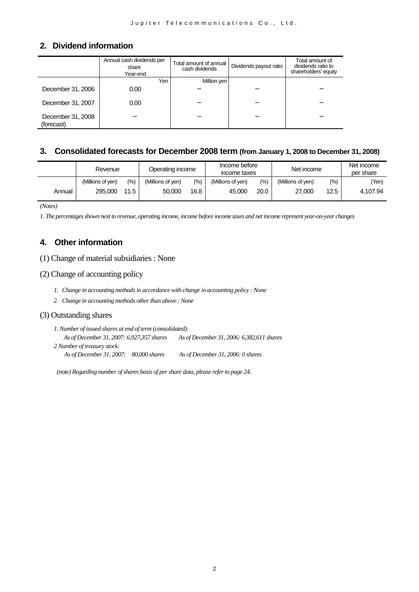#### **2. Dividend information**

|                                 | Annual cash dividends per<br>share<br>Year-end | Total amount of annual<br>cash dividends | Dividends payout ratio | Total amount of<br>dividends ratio to<br>shareholders' equity |
|---------------------------------|------------------------------------------------|------------------------------------------|------------------------|---------------------------------------------------------------|
|                                 | Yen                                            | Million yen l                            |                        |                                                               |
| December 31, 2006               | 0.00                                           |                                          |                        |                                                               |
| December 31, 2007               | 0.00                                           |                                          |                        |                                                               |
| December 31, 2008<br>(forecast) |                                                |                                          |                        |                                                               |

#### **3. Consolidated forecasts for December 2008 term (from January 1, 2008 to December 31, 2008)**

|        | Revenue           |         | Operating income  |        | Income before<br>income taxes |      | Net income        |         | Net income<br>per share |  |
|--------|-------------------|---------|-------------------|--------|-------------------------------|------|-------------------|---------|-------------------------|--|
|        | (Millions of ven) | $(\% )$ | (Millions of yen) | $(\%)$ | (Millions of ven)             | (%)  | (Millions of ven) | $(\% )$ | (Yen)                   |  |
| Annual | 295.000           | 11.5    | 50,000            | 16.8   | 45.000                        | 20.0 | 27,000            | 12.5    | 4.107.94                |  |

*(Notes)*

*1. The percentages shown next to revenue, operating income, income before income taxes and net income represent year-on-year changes* 

#### **4. Other information**

(1) Change of material subsidiaries : None

#### (2) Change of accounting policy

- *1. Change in accounting methods in accordance with change in accounting policy : None*
- *2. Change in accounting methods other than above : None*

#### (3) Outstanding shares

*1. Number of issued shares at end of term (consolidated): As of December 31, 2007: 6,927,357 shares As of December 31, 2006: 6,382,611 shares 2 Number of treasury stock: As of December 31, 2007: 80,000 shares As of December 31, 2006: 0 shares* 

*(note) Regarding number of shares basis of per share data, please refer to page 24.*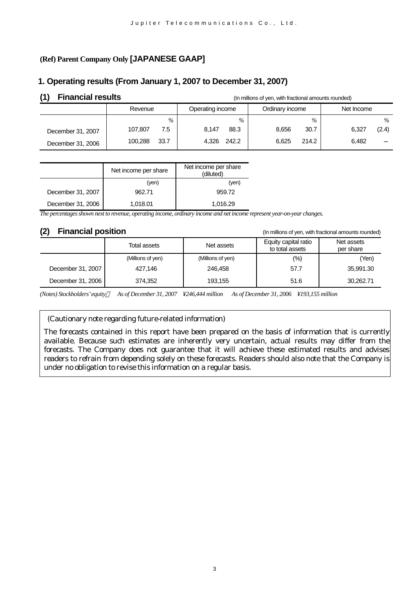# **(Ref) Parent Company Only [JAPANESE GAAP]**

# **1. Operating results (From January 1, 2007 to December 31, 2007)**

| <b>Financial results</b> |                 | (In millions of yen, with fractional amounts rounded) |                 |                |  |  |
|--------------------------|-----------------|-------------------------------------------------------|-----------------|----------------|--|--|
|                          | Revenue         | Operating income                                      | Ordinary income | Net Income     |  |  |
|                          | $\%$            | $\%$                                                  | $\%$            | $\%$           |  |  |
| December 31, 2007        | 107.807<br>7.5  | 88.3<br>8.147                                         | 30.7<br>8.656   | 6.327<br>(2.4) |  |  |
| December 31, 2006        | 33.7<br>100.288 | 4.326 242.2                                           | 214.2<br>6.625  | 6.482          |  |  |

|                   | Net income per share | Net income per share<br>(diluted) |
|-------------------|----------------------|-----------------------------------|
|                   | (yen)                | (ven)                             |
| December 31, 2007 | 962.71               | 959.72                            |
| December 31, 2006 | 1,018.01             | 1,016.29                          |

*The percentages shown next to revenue, operating income, ordinary income and net income represent year-on-year changes.*

Total assets Net assets Equity capital ratio to total assets Net assets per share (Millions of yen) (Millions of yen) (%) (Yen) December 31, 2007 | 427,146 | 246,458 | 57.7 | 35,991.30 December 31, 2006 374,352 193,155 1.6 51.6 30,262.71

*(Notes) Stockholders' equity As of December 31, 2007 ¥246,444 million As of December 31, 2006 ¥193,155 million*

(Cautionary note regarding future-related information)

The forecasts contained in this report have been prepared on the basis of information that is currently available. Because such estimates are inherently very uncertain, actual results may differ from the forecasts. The Company does not guarantee that it will achieve these estimated results and advises readers to refrain from depending solely on these forecasts. Readers should also note that the Company is under no obligation to revise this information on a regular basis.

**(2) Financial position** (In millions of yen, with fractional amounts rounded)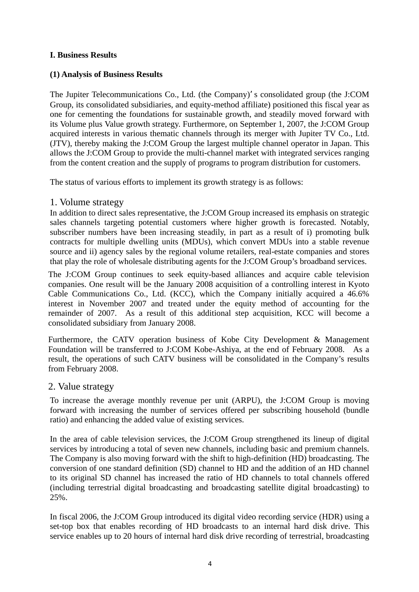### **I. Business Results**

### **(1) Analysis of Business Results**

The Jupiter Telecommunications Co., Ltd. (the Company) s consolidated group (the J:COM Group, its consolidated subsidiaries, and equity-method affiliate) positioned this fiscal year as one for cementing the foundations for sustainable growth, and steadily moved forward with its Volume plus Value growth strategy. Furthermore, on September 1, 2007, the J:COM Group acquired interests in various thematic channels through its merger with Jupiter TV Co., Ltd. (JTV), thereby making the J:COM Group the largest multiple channel operator in Japan. This allows the J:COM Group to provide the multi-channel market with integrated services ranging from the content creation and the supply of programs to program distribution for customers.

The status of various efforts to implement its growth strategy is as follows:

#### 1. Volume strategy

In addition to direct sales representative, the J:COM Group increased its emphasis on strategic sales channels targeting potential customers where higher growth is forecasted. Notably, subscriber numbers have been increasing steadily, in part as a result of i) promoting bulk contracts for multiple dwelling units (MDUs), which convert MDUs into a stable revenue source and ii) agency sales by the regional volume retailers, real-estate companies and stores that play the role of wholesale distributing agents for the J:COM Group's broadband services.

The J:COM Group continues to seek equity-based alliances and acquire cable television companies. One result will be the January 2008 acquisition of a controlling interest in Kyoto Cable Communications Co., Ltd. (KCC), which the Company initially acquired a 46.6% interest in November 2007 and treated under the equity method of accounting for the remainder of 2007. As a result of this additional step acquisition, KCC will become a consolidated subsidiary from January 2008.

Furthermore, [the CATV operation business of Kobe City Development & Management](http://www.jcom.co.jp/ir/en/news/2007/_15936.html) [Foundation will be transferred to J:COM Kobe-Ashiya, at the end of February 2008. As a](http://www.jcom.co.jp/ir/en/news/2007/_15936.html)  [result, the operations of such CATV business will be consolidated in the Company's results](http://www.jcom.co.jp/ir/en/news/2007/_15936.html) [from February 2008.](http://www.jcom.co.jp/ir/en/news/2007/_15936.html) 

### 2. Value strategy

To increase the average monthly revenue per unit (ARPU), the J:COM Group is moving forward with increasing the number of services offered per subscribing household (bundle ratio) and enhancing the added value of existing services.

In the area of cable television services, the J:COM Group strengthened its lineup of digital services by introducing a total of seven new channels, including basic and premium channels. The Company is also moving forward with the shift to high-definition (HD) broadcasting. The conversion of one standard definition (SD) channel to HD and the addition of an HD channel to its original SD channel has increased the ratio of HD channels to total channels offered (including terrestrial digital broadcasting and broadcasting satellite digital broadcasting) to 25%.

In fiscal 2006, the J:COM Group introduced its digital video recording service (HDR) using a set-top box that enables recording of HD broadcasts to an internal hard disk drive. This service enables up to 20 hours of internal hard disk drive recording of terrestrial, broadcasting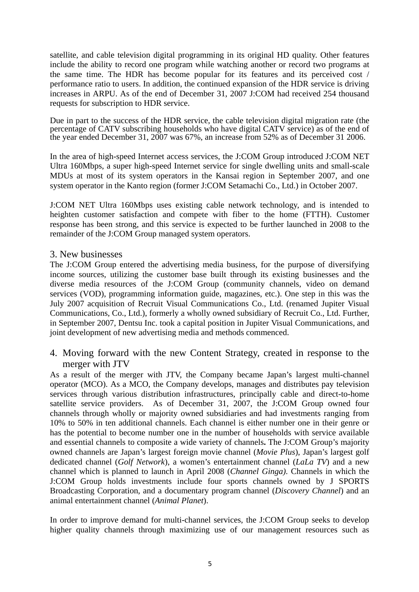satellite, and cable television digital programming in its original HD quality. Other features include the ability to record one program while watching another or record two programs at the same time. The HDR has become popular for its features and its perceived cost / performance ratio to users. In addition, the continued expansion of the HDR service is driving increases in ARPU. As of the end of December 31, 2007 J:COM had received 254 thousand requests for subscription to HDR service.

Due in part to the success of the HDR service, the cable television digital migration rate (the percentage of CATV subscribing households who have digital CATV service) as of the end of the year ended December 31, 2007 was 67%, an increase from 52% as of December 31 2006.

In the area of high-speed Internet access services, the J:COM Group introduced J:COM NET Ultra 160Mbps, a super high-speed Internet service for single dwelling units and small-scale MDUs at most of its system operators in the Kansai region in September 2007, and one system operator in the Kanto region (former J:COM Setamachi Co., Ltd.) in October 2007.

J:COM NET Ultra 160Mbps uses existing cable network technology, and is intended to heighten customer satisfaction and compete with fiber to the home (FTTH). Customer response has been strong, and this service is expected to be further launched in 2008 to the remainder of the J:COM Group managed system operators.

# 3. New businesses

The J:COM Group entered the advertising media business, for the purpose of diversifying income sources, utilizing the customer base built through its existing businesses and the diverse media resources of the J:COM Group (community channels, video on demand services (VOD), programming information guide, magazines, etc.). One step in this was the July 2007 acquisition of Recruit Visual Communications Co., Ltd. (renamed Jupiter Visual Communications, Co., Ltd.), formerly a wholly owned subsidiary of Recruit Co., Ltd. Further, in September 2007, Dentsu Inc. took a capital position in Jupiter Visual Communications, and joint development of new advertising media and methods commenced.

4. Moving forward with the new Content Strategy, created in response to the merger with JTV

As a result of the merger with JTV, the Company became Japan's largest multi-channel operator (MCO). As a MCO, the Company develops, manages and distributes pay television services through various distribution infrastructures, principally cable and direct-to-home satellite service providers. As of December 31, 2007, the J:COM Group owned four channels through wholly or majority owned subsidiaries and had investments ranging from 10% to 50% in ten additional channels. Each channel is either number one in their genre or has the potential to become number one in the number of households with service available and essential channels to composite a wide variety of channels**.** The J:COM Group's majority owned channels are Japan's largest foreign movie channel (*Movie Plus*), Japan's largest golf dedicated channel (*Golf Network*), a women's entertainment channel (*LaLa TV*) and a new channel which is planned to launch in April 2008 (*Channel Ginga)*. Channels in which the J:COM Group holds investments include four sports channels owned by J SPORTS Broadcasting Corporation, and a documentary program channel (*Discovery Channel*) and an animal entertainment channel (*Animal Planet*).

In order to improve demand for multi-channel services, the J:COM Group seeks to develop higher quality channels through maximizing use of our management resources such as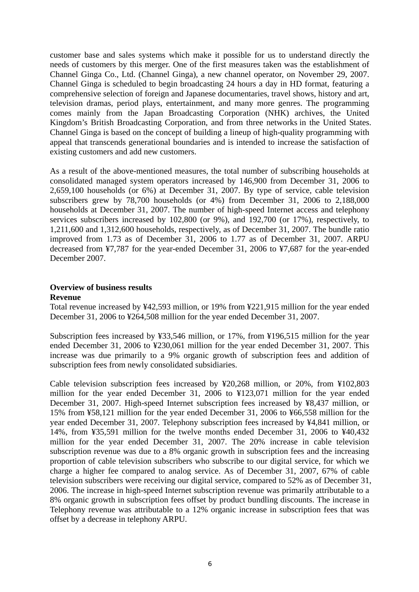customer base and sales systems which make it possible for us to understand directly the needs of customers by this merger. One of the first measures taken was the establishment of Channel Ginga Co., Ltd. (Channel Ginga), a new channel operator, on November 29, 2007. Channel Ginga is scheduled to begin broadcasting 24 hours a day in HD format, featuring a comprehensive selection of foreign and Japanese documentaries, travel shows, history and art, television dramas, period plays, entertainment, and many more genres. The programming comes mainly from the Japan Broadcasting Corporation (NHK) archives, the United Kingdom's British Broadcasting Corporation, and from three networks in the United States. Channel Ginga is based on the concept of building a lineup of high-quality programming with appeal that transcends generational boundaries and is intended to increase the satisfaction of existing customers and add new customers.

As a result of the above-mentioned measures, the total number of subscribing households at consolidated managed system operators increased by 146,900 from December 31, 2006 to 2,659,100 households (or 6%) at December 31, 2007. By type of service, cable television subscribers grew by 78,700 households (or 4%) from December 31, 2006 to 2,188,000 households at December 31, 2007. The number of high-speed Internet access and telephony services subscribers increased by 102,800 (or 9%), and 192,700 (or 17%), respectively, to 1,211,600 and 1,312,600 households, respectively, as of December 31, 2007. The bundle ratio improved from 1.73 as of December 31, 2006 to 1.77 as of December 31, 2007. ARPU decreased from ¥7,787 for the year-ended December 31, 2006 to ¥7,687 for the year-ended December 2007.

# **Overview of business results**

#### **Revenue**

Total revenue increased by ¥42,593 million, or 19% from ¥221,915 million for the year ended December 31, 2006 to ¥264,508 million for the year ended December 31, 2007.

Subscription fees increased by ¥33,546 million, or 17%, from ¥196,515 million for the year ended December 31, 2006 to ¥230,061 million for the year ended December 31, 2007. This increase was due primarily to a 9% organic growth of subscription fees and addition of subscription fees from newly consolidated subsidiaries.

Cable television subscription fees increased by ¥20,268 million, or 20%, from ¥102,803 million for the year ended December 31, 2006 to ¥123,071 million for the year ended December 31, 2007. High-speed Internet subscription fees increased by ¥8,437 million, or 15% from ¥58,121 million for the year ended December 31, 2006 to ¥66,558 million for the year ended December 31, 2007. Telephony subscription fees increased by ¥4,841 million, or 14%, from ¥35,591 million for the twelve months ended December 31, 2006 to ¥40,432 million for the year ended December 31, 2007. The 20% increase in cable television subscription revenue was due to a 8% organic growth in subscription fees and the increasing proportion of cable television subscribers who subscribe to our digital service, for which we charge a higher fee compared to analog service. As of December 31, 2007, 67% of cable television subscribers were receiving our digital service, compared to 52% as of December 31, 2006. The increase in high-speed Internet subscription revenue was primarily attributable to a 8% organic growth in subscription fees offset by product bundling discounts. The increase in Telephony revenue was attributable to a 12% organic increase in subscription fees that was offset by a decrease in telephony ARPU.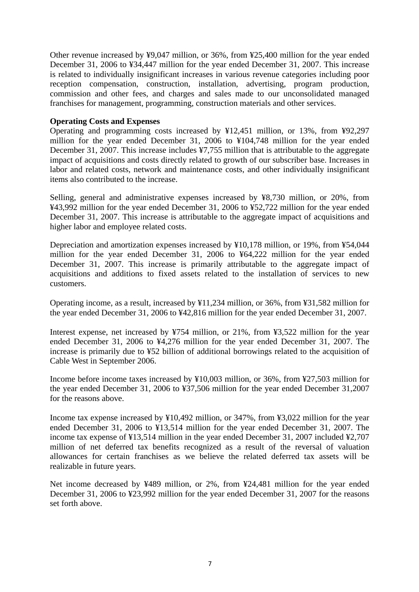Other revenue increased by ¥9,047 million, or 36%, from ¥25,400 million for the year ended December 31, 2006 to ¥34,447 million for the year ended December 31, 2007. This increase is related to individually insignificant increases in various revenue categories including poor reception compensation, construction, installation, advertising, program production, commission and other fees, and charges and sales made to our unconsolidated managed franchises for management, programming, construction materials and other services.

#### **Operating Costs and Expenses**

Operating and programming costs increased by ¥12,451 million, or 13%, from ¥92,297 million for the year ended December 31, 2006 to ¥104,748 million for the year ended December 31, 2007. This increase includes ¥7,755 million that is attributable to the aggregate impact of acquisitions and costs directly related to growth of our subscriber base. Increases in labor and related costs, network and maintenance costs, and other individually insignificant items also contributed to the increase.

Selling, general and administrative expenses increased by ¥8,730 million, or 20%, from ¥43,992 million for the year ended December 31, 2006 to ¥52,722 million for the year ended December 31, 2007. This increase is attributable to the aggregate impact of acquisitions and higher labor and employee related costs.

Depreciation and amortization expenses increased by ¥10,178 million, or 19%, from ¥54,044 million for the year ended December 31, 2006 to ¥64,222 million for the year ended December 31, 2007. This increase is primarily attributable to the aggregate impact of acquisitions and additions to fixed assets related to the installation of services to new customers.

Operating income, as a result, increased by ¥11,234 million, or 36%, from ¥31,582 million for the year ended December 31, 2006 to ¥42,816 million for the year ended December 31, 2007.

Interest expense, net increased by ¥754 million, or 21%, from ¥3,522 million for the year ended December 31, 2006 to ¥4,276 million for the year ended December 31, 2007. The increase is primarily due to ¥52 billion of additional borrowings related to the acquisition of Cable West in September 2006.

Income before income taxes increased by ¥10,003 million, or 36%, from ¥27,503 million for the year ended December 31, 2006 to ¥37,506 million for the year ended December 31,2007 for the reasons above.

Income tax expense increased by ¥10,492 million, or 347%, from ¥3,022 million for the year ended December 31, 2006 to ¥13,514 million for the year ended December 31, 2007. The income tax expense of ¥13,514 million in the year ended December 31, 2007 included ¥2,707 million of net deferred tax benefits recognized as a result of the reversal of valuation allowances for certain franchises as we believe the related deferred tax assets will be realizable in future years.

Net income decreased by ¥489 million, or 2%, from ¥24,481 million for the year ended December 31, 2006 to ¥23,992 million for the year ended December 31, 2007 for the reasons set forth above.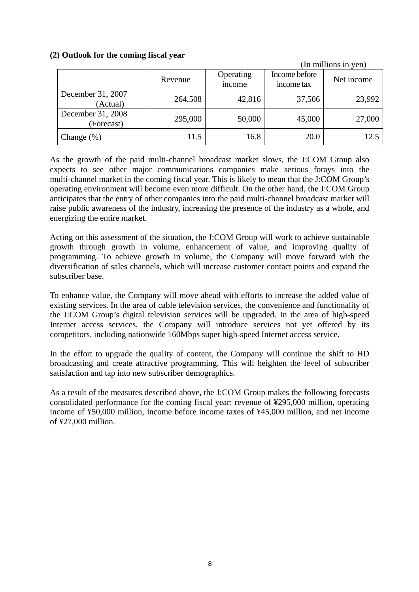#### **(2) Outlook for the coming fiscal year**

|                                 |         | (In millions in yen) |                             |            |
|---------------------------------|---------|----------------------|-----------------------------|------------|
|                                 | Revenue | Operating<br>income  | Income before<br>income tax | Net income |
| December 31, 2007<br>(Actual)   | 264,508 | 42,816               | 37,506                      | 23,992     |
| December 31, 2008<br>(Forecast) | 295,000 | 50,000               | 45,000                      | 27,000     |
| Change $(\%)$                   | 11.5    | 16.8                 | 20.0                        | 12.5       |

As the growth of the paid multi-channel broadcast market slows, the J:COM Group also expects to see other major communications companies make serious forays into the multi-channel market in the coming fiscal year. This is likely to mean that the J:COM Group's operating environment will become even more difficult. On the other hand, the J:COM Group anticipates that the entry of other companies into the paid multi-channel broadcast market will raise public awareness of the industry, increasing the presence of the industry as a whole, and energizing the entire market.

Acting on this assessment of the situation, the J:COM Group will work to achieve sustainable growth through growth in volume, enhancement of value, and improving quality of programming. To achieve growth in volume, the Company will move forward with the diversification of sales channels, which will increase customer contact points and expand the subscriber base.

To enhance value, the Company will move ahead with efforts to increase the added value of existing services. In the area of cable television services, the convenience and functionality of the J:COM Group's digital television services will be upgraded. In the area of high-speed Internet access services, the Company will introduce services not yet offered by its competitors, including nationwide 160Mbps super high-speed Internet access service.

In the effort to upgrade the quality of content, the Company will continue the shift to HD broadcasting and create attractive programming. This will heighten the level of subscriber satisfaction and tap into new subscriber demographics.

As a result of the measures described above, the J:COM Group makes the following forecasts consolidated performance for the coming fiscal year: revenue of ¥295,000 million, operating income of ¥50,000 million, income before income taxes of ¥45,000 million, and net income of ¥27,000 million.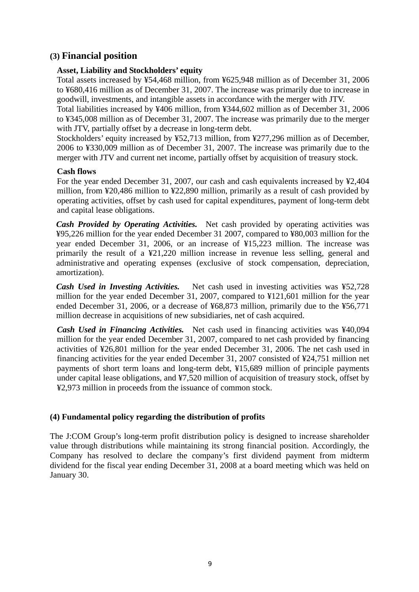# **(3) Financial position**

### **Asset, Liability and Stockholders' equity**

Total assets increased by ¥54,468 million, from ¥625,948 million as of December 31, 2006 to ¥680,416 million as of December 31, 2007. The increase was primarily due to increase in goodwill, investments, and intangible assets in accordance with the merger with JTV.

Total liabilities increased by ¥406 million, from ¥344,602 million as of December 31, 2006 to ¥345,008 million as of December 31, 2007. The increase was primarily due to the merger with JTV, partially offset by a decrease in long-term debt.

Stockholders' equity increased by ¥52,713 million, from ¥277,296 million as of December, 2006 to ¥330,009 million as of December 31, 2007. The increase was primarily due to the merger with JTV and current net income, partially offset by acquisition of treasury stock.

#### **Cash flows**

For the year ended December 31, 2007, our cash and cash equivalents increased by ¥2,404 million, from ¥20,486 million to ¥22,890 million, primarily as a result of cash provided by operating activities, offset by cash used for capital expenditures, payment of long-term debt and capital lease obligations.

*Cash Provided by Operating Activities.* Net cash provided by operating activities was ¥95,226 million for the year ended December 31 2007, compared to ¥80,003 million for the year ended December 31, 2006, or an increase of ¥15,223 million. The increase was primarily the result of a ¥21,220 million increase in revenue less selling, general and administrative and operating expenses (exclusive of stock compensation, depreciation, amortization).

*Cash Used in Investing Activities.* Net cash used in investing activities was ¥52,728 million for the year ended December 31, 2007, compared to ¥121,601 million for the year ended December 31, 2006, or a decrease of ¥68,873 million, primarily due to the ¥56,771 million decrease in acquisitions of new subsidiaries, net of cash acquired.

*Cash Used in Financing Activities.* Net cash used in financing activities was ¥40,094 million for the year ended December 31, 2007, compared to net cash provided by financing activities of ¥26,801 million for the year ended December 31, 2006. The net cash used in financing activities for the year ended December 31, 2007 consisted of ¥24,751 million net payments of short term loans and long-term debt, ¥15,689 million of principle payments under capital lease obligations, and ¥7,520 million of acquisition of treasury stock, offset by ¥2,973 million in proceeds from the issuance of common stock.

### **(4) Fundamental policy regarding the distribution of profits**

The J:COM Group's long-term profit distribution policy is designed to increase shareholder value through distributions while maintaining its strong financial position. Accordingly, the Company has resolved to declare the company's first dividend payment from midterm dividend for the fiscal year ending December 31, 2008 at a board meeting which was held on January 30.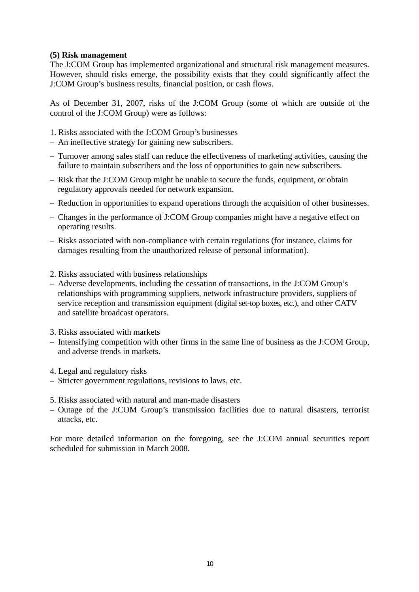#### **(5) Risk management**

The J:COM Group has implemented organizational and structural risk management measures. However, should risks emerge, the possibility exists that they could significantly affect the J:COM Group's business results, financial position, or cash flows.

As of December 31, 2007, risks of the J:COM Group (some of which are outside of the control of the J:COM Group) were as follows:

- 1. Risks associated with the J:COM Group's businesses
- An ineffective strategy for gaining new subscribers.
- Turnover among sales staff can reduce the effectiveness of marketing activities, causing the failure to maintain subscribers and the loss of opportunities to gain new subscribers.
- Risk that the J:COM Group might be unable to secure the funds, equipment, or obtain regulatory approvals needed for network expansion.
- Reduction in opportunities to expand operations through the acquisition of other businesses.
- Changes in the performance of J:COM Group companies might have a negative effect on operating results.
- Risks associated with non-compliance with certain regulations (for instance, claims for damages resulting from the unauthorized release of personal information).
- 2. Risks associated with business relationships
- Adverse developments, including the cessation of transactions, in the J:COM Group's relationships with programming suppliers, network infrastructure providers, suppliers of service reception and transmission equipment (digital set-top boxes, etc.), and other CATV and satellite broadcast operators.
- 3. Risks associated with markets
- Intensifying competition with other firms in the same line of business as the J:COM Group, and adverse trends in markets.
- 4. Legal and regulatory risks
- Stricter government regulations, revisions to laws, etc.
- 5. Risks associated with natural and man-made disasters
- Outage of the J:COM Group's transmission facilities due to natural disasters, terrorist attacks, etc.

For more detailed information on the foregoing, see the J:COM annual securities report scheduled for submission in March 2008.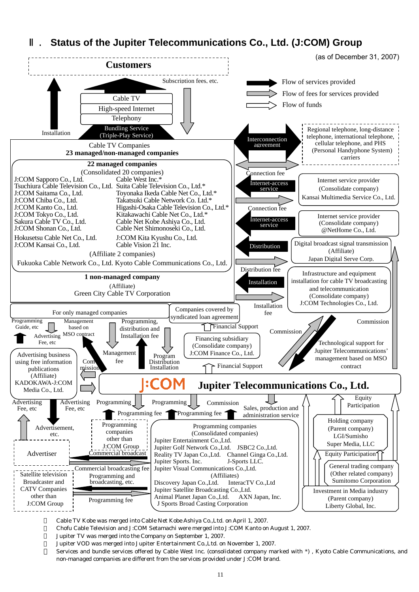# **Status of the Jupiter Telecommunications Co., Ltd. (J:COM) Group**



Cable TV Kobe was merged into Cable Net Kobe Ashiya Co.,Ltd. on April 1, 2007.

・ Chofu Cable Television and J:COM Setamachi were merged into J:COM Kanto on August 1, 2007.

Jupiter TV was merged into the Company on September 1, 2007.

Jupiter VOD was merged into Jupiter Entertainment Co., Ltd. on November 1, 2007.

Services and bundle services offered by Cable West Inc. (consolidated company marked with \*), Kyoto Cable Communications, and non-managed companies are different from the services provided under J:COM brand.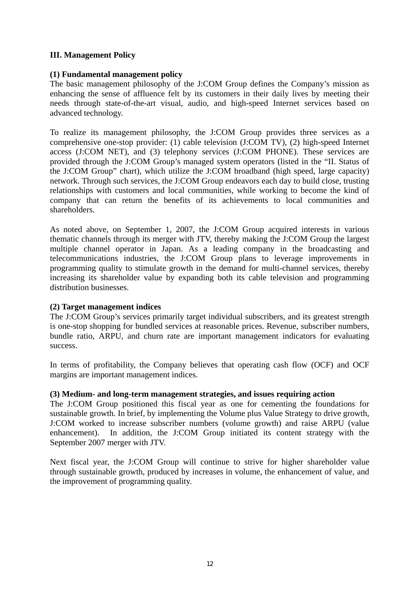### **III. Management Policy**

#### **(1) Fundamental management policy**

The basic management philosophy of the J:COM Group defines the Company's mission as enhancing the sense of affluence felt by its customers in their daily lives by meeting their needs through state-of-the-art visual, audio, and high-speed Internet services based on advanced technology.

To realize its management philosophy, the J:COM Group provides three services as a comprehensive one-stop provider: (1) cable television (J:COM TV), (2) high-speed Internet access (J:COM NET), and (3) telephony services (J:COM PHONE). These services are provided through the J:COM Group's managed system operators (listed in the "II. Status of the J:COM Group" chart), which utilize the J:COM broadband (high speed, large capacity) network. Through such services, the J:COM Group endeavors each day to build close, trusting relationships with customers and local communities, while working to become the kind of company that can return the benefits of its achievements to local communities and shareholders.

As noted above, on September 1, 2007, the J:COM Group acquired interests in various thematic channels through its merger with JTV, thereby making the J:COM Group the largest multiple channel operator in Japan. As a leading company in the broadcasting and telecommunications industries, the J:COM Group plans to leverage improvements in programming quality to stimulate growth in the demand for multi-channel services, thereby increasing its shareholder value by expanding both its cable television and programming distribution businesses.

#### **(2) Target management indices**

The J:COM Group's services primarily target individual subscribers, and its greatest strength is one-stop shopping for bundled services at reasonable prices. Revenue, subscriber numbers, bundle ratio, ARPU, and churn rate are important management indicators for evaluating success.

In terms of profitability, the Company believes that operating cash flow (OCF) and OCF margins are important management indices.

#### **(3) Medium- and long-term management strategies, and issues requiring action**

The J:COM Group positioned this fiscal year as one for cementing the foundations for sustainable growth. In brief, by implementing the Volume plus Value Strategy to drive growth, J:COM worked to increase subscriber numbers (volume growth) and raise ARPU (value enhancement). In addition, the J:COM Group initiated its content strategy with the September 2007 merger with JTV.

Next fiscal year, the J:COM Group will continue to strive for higher shareholder value through sustainable growth, produced by increases in volume, the enhancement of value, and the improvement of programming quality.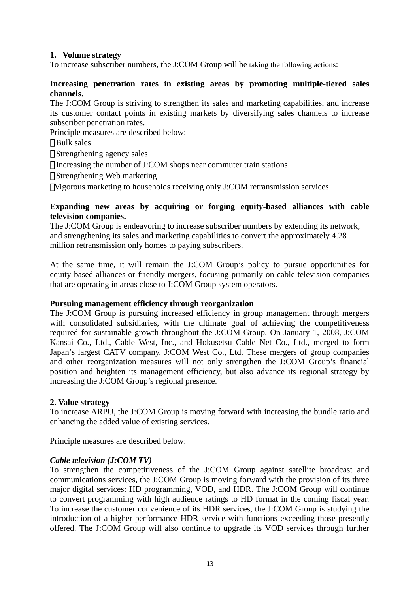### **1. Volume strategy**

To increase subscriber numbers, the J:COM Group will be taking the following actions:

#### **Increasing penetration rates in existing areas by promoting multiple-tiered sales channels.**

The J:COM Group is striving to strengthen its sales and marketing capabilities, and increase its customer contact points in existing markets by diversifying sales channels to increase subscriber penetration rates.

Principle measures are described below:

- Bulk sales
- Strengthening agency sales
- Increasing the number of J:COM shops near commuter train stations
- Strengthening Web marketing
- Vigorous marketing to households receiving only J:COM retransmission services

#### **Expanding new areas by acquiring or forging equity-based alliances with cable television companies.**

The J:COM Group is endeavoring to increase subscriber numbers by extending its network, and strengthening its sales and marketing capabilities to convert the approximately 4.28 million retransmission only homes to paying subscribers.

At the same time, it will remain the J:COM Group's policy to pursue opportunities for equity-based alliances or friendly mergers, focusing primarily on cable television companies that are operating in areas close to J:COM Group system operators.

#### **Pursuing management efficiency through reorganization**

The J:COM Group is pursuing increased efficiency in group management through mergers with consolidated subsidiaries, with the ultimate goal of achieving the competitiveness required for sustainable growth throughout the J:COM Group. On January 1, 2008, J:COM Kansai Co., Ltd., Cable West, Inc., and Hokusetsu Cable Net Co., Ltd., merged to form Japan's largest CATV company, J:COM West Co., Ltd. These mergers of group companies and other reorganization measures will not only strengthen the J:COM Group's financial position and heighten its management efficiency, but also advance its regional strategy by increasing the J:COM Group's regional presence.

#### **2. Value strategy**

To increase ARPU, the J:COM Group is moving forward with increasing the bundle ratio and enhancing the added value of existing services.

Principle measures are described below:

#### *Cable television (J:COM TV)*

To strengthen the competitiveness of the J:COM Group against satellite broadcast and communications services, the J:COM Group is moving forward with the provision of its three major digital services: HD programming, VOD, and HDR. The J:COM Group will continue to convert programming with high audience ratings to HD format in the coming fiscal year. To increase the customer convenience of its HDR services, the J:COM Group is studying the introduction of a higher-performance HDR service with functions exceeding those presently offered. The J:COM Group will also continue to upgrade its VOD services through further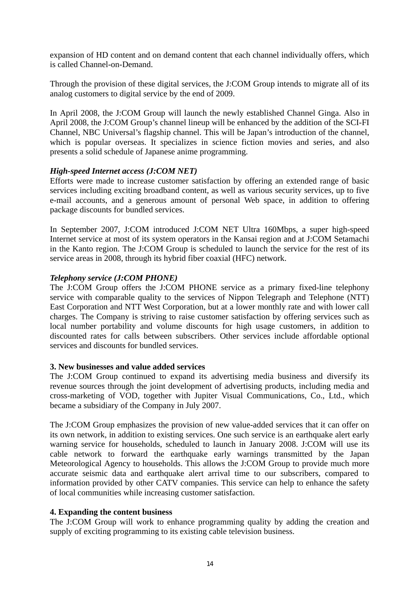expansion of HD content and on demand content that each channel individually offers, which is called Channel-on-Demand.

Through the provision of these digital services, the J:COM Group intends to migrate all of its analog customers to digital service by the end of 2009.

In April 2008, the J:COM Group will launch the newly established Channel Ginga. Also in April 2008, the J:COM Group's channel lineup will be enhanced by the addition of the SCI-FI Channel, NBC Universal's flagship channel. This will be Japan's introduction of the channel, which is popular overseas. It specializes in science fiction movies and series, and also presents a solid schedule of Japanese anime programming.

#### *High-speed Internet access (J:COM NET)*

Efforts were made to increase customer satisfaction by offering an extended range of basic services including exciting broadband content, as well as various security services, up to five e-mail accounts, and a generous amount of personal Web space, in addition to offering package discounts for bundled services.

In September 2007, J:COM introduced J:COM NET Ultra 160Mbps, a super high-speed Internet service at most of its system operators in the Kansai region and at J:COM Setamachi in the Kanto region. The J:COM Group is scheduled to launch the service for the rest of its service areas in 2008, through its hybrid fiber coaxial (HFC) network.

#### *Telephony service (J:COM PHONE)*

The J:COM Group offers the J:COM PHONE service as a primary fixed-line telephony service with comparable quality to the services of Nippon Telegraph and Telephone (NTT) East Corporation and NTT West Corporation, but at a lower monthly rate and with lower call charges. The Company is striving to raise customer satisfaction by offering services such as local number portability and volume discounts for high usage customers, in addition to discounted rates for calls between subscribers. Other services include affordable optional services and discounts for bundled services.

#### **3. New businesses and value added services**

The J:COM Group continued to expand its advertising media business and diversify its revenue sources through the joint development of advertising products, including media and cross-marketing of VOD, together with Jupiter Visual Communications, Co., Ltd., which became a subsidiary of the Company in July 2007.

The J:COM Group emphasizes the provision of new value-added services that it can offer on its own network, in addition to existing services. One such service is an earthquake alert early warning service for households, scheduled to launch in January 2008. J:COM will use its cable network to forward the earthquake early warnings transmitted by the Japan Meteorological Agency to households. This allows the J:COM Group to provide much more accurate seismic data and earthquake alert arrival time to our subscribers, compared to information provided by other CATV companies. This service can help to enhance the safety of local communities while increasing customer satisfaction.

#### **4. Expanding the content business**

The J:COM Group will work to enhance programming quality by adding the creation and supply of exciting programming to its existing cable television business.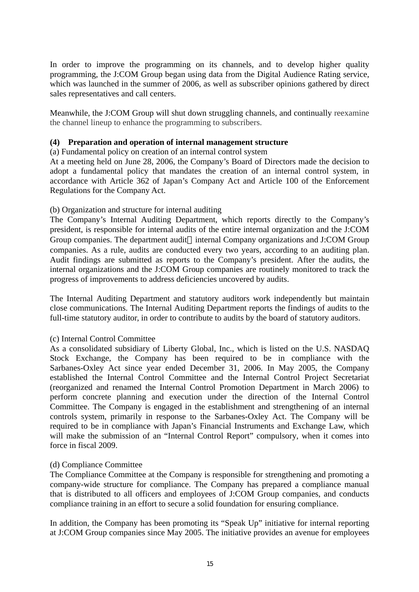In order to improve the programming on its channels, and to develop higher quality programming, the J:COM Group began using data from the Digital Audience Rating service, which was launched in the summer of 2006, as well as subscriber opinions gathered by direct sales representatives and call centers.

Meanwhile, the J:COM Group will shut down struggling channels, and continually reexamine the channel lineup to enhance the programming to subscribers.

#### **(4) Preparation and operation of internal management structure**

(a) Fundamental policy on creation of an internal control system

At a meeting held on June 28, 2006, the Company's Board of Directors made the decision to adopt a fundamental policy that mandates the creation of an internal control system, in accordance with Article 362 of Japan's Company Act and Article 100 of the Enforcement Regulations for the Company Act.

#### (b) Organization and structure for internal auditing

The Company's Internal Auditing Department, which reports directly to the Company's president, is responsible for internal audits of the entire internal organization and the J:COM Group companies. The department audit internal Company organizations and J:COM Group companies. As a rule, audits are conducted every two years, according to an auditing plan. Audit findings are submitted as reports to the Company's president. After the audits, the internal organizations and the J:COM Group companies are routinely monitored to track the progress of improvements to address deficiencies uncovered by audits.

The Internal Auditing Department and statutory auditors work independently but maintain close communications. The Internal Auditing Department reports the findings of audits to the full-time statutory auditor, in order to contribute to audits by the board of statutory auditors.

#### (c) Internal Control Committee

As a consolidated subsidiary of Liberty Global, Inc., which is listed on the U.S. NASDAQ Stock Exchange, the Company has been required to be in compliance with the Sarbanes-Oxley Act since year ended December 31, 2006. In May 2005, the Company established the Internal Control Committee and the Internal Control Project Secretariat (reorganized and renamed the Internal Control Promotion Department in March 2006) to perform concrete planning and execution under the direction of the Internal Control Committee. The Company is engaged in the establishment and strengthening of an internal controls system, primarily in response to the Sarbanes-Oxley Act. The Company will be required to be in compliance with Japan's Financial Instruments and Exchange Law, which will make the submission of an "Internal Control Report" compulsory, when it comes into force in fiscal 2009.

#### (d) Compliance Committee

The Compliance Committee at the Company is responsible for strengthening and promoting a company-wide structure for compliance. The Company has prepared a compliance manual that is distributed to all officers and employees of J:COM Group companies, and conducts compliance training in an effort to secure a solid foundation for ensuring compliance.

In addition, the Company has been promoting its "Speak Up" initiative for internal reporting at J:COM Group companies since May 2005. The initiative provides an avenue for employees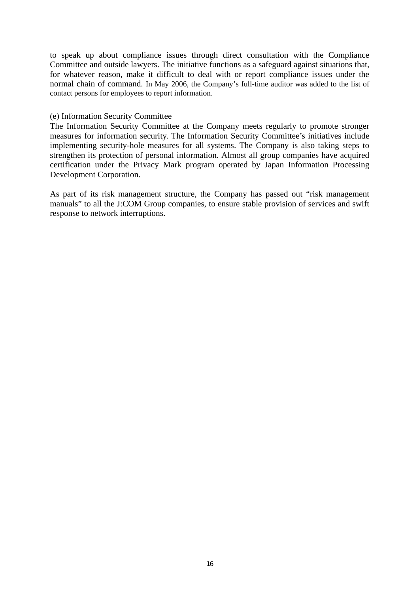to speak up about compliance issues through direct consultation with the Compliance Committee and outside lawyers. The initiative functions as a safeguard against situations that, for whatever reason, make it difficult to deal with or report compliance issues under the normal chain of command. In May 2006, the Company's full-time auditor was added to the list of contact persons for employees to report information.

#### (e) Information Security Committee

The Information Security Committee at the Company meets regularly to promote stronger measures for information security. The Information Security Committee's initiatives include implementing security-hole measures for all systems. The Company is also taking steps to strengthen its protection of personal information. Almost all group companies have acquired certification under the Privacy Mark program operated by Japan Information Processing Development Corporation.

As part of its risk management structure, the Company has passed out "risk management manuals" to all the J:COM Group companies, to ensure stable provision of services and swift response to network interruptions.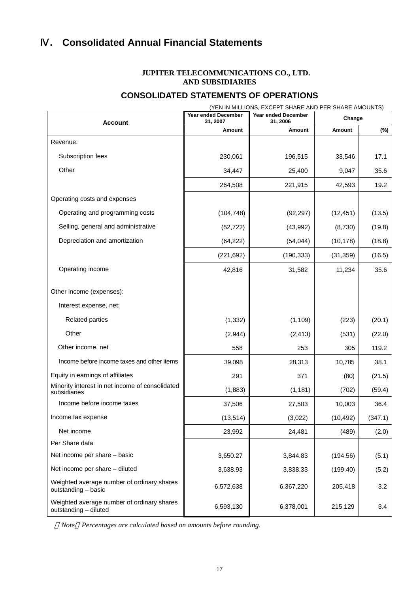# Ⅳ**. Consolidated Annual Financial Statements**

#### **JUPITER TELECOMMUNICATIONS CO., LTD. AND SUBSIDIARIES**

# **CONSOLIDATED STATEMENTS OF OPERATIONS**

| (YEN IN MILLIONS, EXCEPT SHARE AND PER SHARE AMOUNTS)               |                                        |                                        |           |         |  |  |
|---------------------------------------------------------------------|----------------------------------------|----------------------------------------|-----------|---------|--|--|
| <b>Account</b>                                                      | <b>Year ended December</b><br>31, 2007 | <b>Year ended December</b><br>31, 2006 | Change    |         |  |  |
|                                                                     | Amount                                 | Amount                                 | Amount    | (%)     |  |  |
| Revenue:                                                            |                                        |                                        |           |         |  |  |
| Subscription fees                                                   | 230,061                                | 196,515                                | 33,546    | 17.1    |  |  |
| Other                                                               | 34,447                                 | 25,400                                 | 9,047     | 35.6    |  |  |
|                                                                     | 264,508                                | 221,915                                | 42,593    | 19.2    |  |  |
| Operating costs and expenses                                        |                                        |                                        |           |         |  |  |
| Operating and programming costs                                     | (104, 748)                             | (92, 297)                              | (12, 451) | (13.5)  |  |  |
| Selling, general and administrative                                 | (52, 722)                              | (43,992)                               | (8,730)   | (19.8)  |  |  |
| Depreciation and amortization                                       | (64, 222)                              | (54, 044)                              | (10, 178) | (18.8)  |  |  |
|                                                                     | (221, 692)                             | (190, 333)                             | (31, 359) | (16.5)  |  |  |
| Operating income                                                    | 42,816                                 | 31,582                                 | 11,234    | 35.6    |  |  |
| Other income (expenses):                                            |                                        |                                        |           |         |  |  |
| Interest expense, net:                                              |                                        |                                        |           |         |  |  |
|                                                                     |                                        |                                        |           |         |  |  |
| <b>Related parties</b>                                              | (1, 332)                               | (1, 109)                               | (223)     | (20.1)  |  |  |
| Other                                                               | (2,944)                                | (2, 413)                               | (531)     | (22.0)  |  |  |
| Other income, net                                                   | 558                                    | 253                                    | 305       | 119.2   |  |  |
| Income before income taxes and other items                          | 39,098                                 | 28,313                                 | 10,785    | 38.1    |  |  |
| Equity in earnings of affiliates                                    | 291                                    | 371                                    | (80)      | (21.5)  |  |  |
| Minority interest in net income of consolidated<br>subsidiaries     | (1,883)                                | (1, 181)                               | (702)     | (59.4)  |  |  |
| Income before income taxes                                          | 37,506                                 | 27,503                                 | 10,003    | 36.4    |  |  |
| Income tax expense                                                  | (13, 514)                              | (3,022)                                | (10, 492) | (347.1) |  |  |
| Net income                                                          | 23,992                                 | 24,481                                 | (489)     | (2.0)   |  |  |
| Per Share data                                                      |                                        |                                        |           |         |  |  |
| Net income per share - basic                                        | 3,650.27                               | 3,844.83                               | (194.56)  | (5.1)   |  |  |
| Net income per share - diluted                                      | 3,638.93                               | 3,838.33                               | (199.40)  | (5.2)   |  |  |
| Weighted average number of ordinary shares<br>outstanding - basic   | 6,572,638                              | 6,367,220                              | 205,418   | 3.2     |  |  |
| Weighted average number of ordinary shares<br>outstanding - diluted | 6,593,130                              | 6,378,001                              | 215,129   | 3.4     |  |  |

*Note Percentages are calculated based on amounts before rounding.*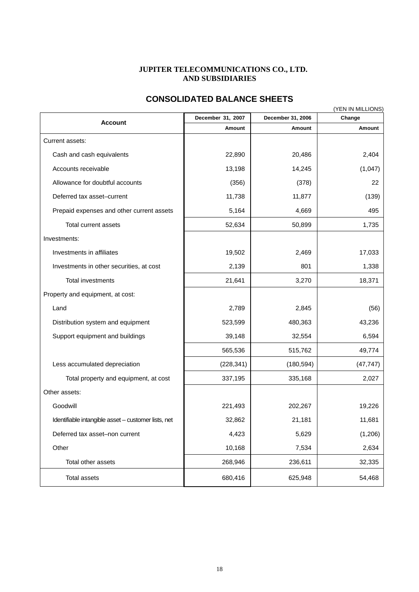#### **JUPITER TELECOMMUNICATIONS CO., LTD. AND SUBSIDIARIES**

# **CONSOLIDATED BALANCE SHEETS**

|                                                     | (YEN IN MILLIONS) |                   |           |  |  |
|-----------------------------------------------------|-------------------|-------------------|-----------|--|--|
| <b>Account</b>                                      | December 31, 2007 | December 31, 2006 | Change    |  |  |
|                                                     | Amount            | Amount            | Amount    |  |  |
| Current assets:                                     |                   |                   |           |  |  |
| Cash and cash equivalents                           | 22,890            | 20,486            | 2,404     |  |  |
| Accounts receivable                                 | 13,198            | 14,245            | (1,047)   |  |  |
| Allowance for doubtful accounts                     | (356)             | (378)             | 22        |  |  |
| Deferred tax asset-current                          | 11,738            | 11,877            | (139)     |  |  |
| Prepaid expenses and other current assets           | 5,164             | 4,669             | 495       |  |  |
| Total current assets                                | 52,634            | 50,899            | 1,735     |  |  |
| Investments:                                        |                   |                   |           |  |  |
| Investments in affiliates                           | 19,502            | 2,469             | 17,033    |  |  |
| Investments in other securities, at cost            | 2,139             | 801               | 1,338     |  |  |
| Total investments                                   | 21,641            | 3,270             | 18,371    |  |  |
| Property and equipment, at cost:                    |                   |                   |           |  |  |
| Land                                                | 2,789             | 2,845             | (56)      |  |  |
| Distribution system and equipment                   | 523,599           | 480,363           | 43,236    |  |  |
| Support equipment and buildings                     | 39,148            | 32,554            | 6,594     |  |  |
|                                                     | 565,536           | 515,762           | 49,774    |  |  |
| Less accumulated depreciation                       | (228, 341)        | (180, 594)        | (47, 747) |  |  |
| Total property and equipment, at cost               | 337,195           | 335,168           | 2,027     |  |  |
| Other assets:                                       |                   |                   |           |  |  |
| Goodwill                                            | 221,493           | 202,267           | 19,226    |  |  |
| Identifiable intangible asset - customer lists, net | 32,862            | 21,181            | 11,681    |  |  |
| Deferred tax asset-non current                      | 4,423             | 5,629             | (1,206)   |  |  |
| Other                                               | 10,168            | 7,534             | 2,634     |  |  |
| Total other assets                                  | 268,946           | 236,611           | 32,335    |  |  |
| <b>Total assets</b>                                 | 680,416           | 625,948           | 54,468    |  |  |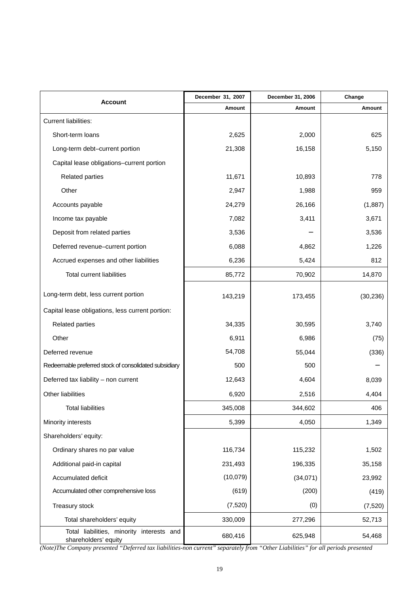| Account                                                           | December 31, 2007 | December 31, 2006 | Change    |
|-------------------------------------------------------------------|-------------------|-------------------|-----------|
|                                                                   | Amount            | Amount            | Amount    |
| <b>Current liabilities:</b>                                       |                   |                   |           |
| Short-term loans                                                  | 2,625             | 2,000             | 625       |
| Long-term debt-current portion                                    | 21,308            | 16,158            | 5,150     |
| Capital lease obligations-current portion                         |                   |                   |           |
| <b>Related parties</b>                                            | 11,671            | 10,893            | 778       |
| Other                                                             | 2,947             | 1,988             | 959       |
| Accounts payable                                                  | 24,279            | 26,166            | (1,887)   |
| Income tax payable                                                | 7,082             | 3,411             | 3,671     |
| Deposit from related parties                                      | 3,536             |                   | 3,536     |
| Deferred revenue-current portion                                  | 6,088             | 4,862             | 1,226     |
| Accrued expenses and other liabilities                            | 6,236             | 5,424             | 812       |
| Total current liabilities                                         | 85,772            | 70,902            | 14,870    |
| Long-term debt, less current portion                              | 143,219           | 173,455           | (30, 236) |
| Capital lease obligations, less current portion:                  |                   |                   |           |
| <b>Related parties</b>                                            | 34,335            | 30,595            | 3,740     |
| Other                                                             | 6,911             | 6,986             | (75)      |
| Deferred revenue                                                  | 54,708            | 55,044            | (336)     |
| Redeemable preferred stock of consolidated subsidiary             | 500               | 500               |           |
| Deferred tax liability - non current                              | 12,643            | 4,604             | 8,039     |
| Other liabilities                                                 | 6,920             | 2,516             | 4,404     |
| <b>Total liabilities</b>                                          | 345,008           | 344,602           | 406       |
| Minority interests                                                | 5,399             | 4,050             | 1,349     |
| Shareholders' equity:                                             |                   |                   |           |
| Ordinary shares no par value                                      | 116,734           | 115,232           | 1,502     |
| Additional paid-in capital                                        | 231,493           | 196,335           | 35,158    |
| Accumulated deficit                                               | (10,079)          | (34,071)          | 23,992    |
| Accumulated other comprehensive loss                              | (619)             | (200)             | (419)     |
| Treasury stock                                                    | (7, 520)          | (0)               | (7, 520)  |
| Total shareholders' equity                                        | 330,009           | 277,296           | 52,713    |
| Total liabilities, minority interests and<br>shareholders' equity | 680,416           | 625,948           | 54,468    |

*(Note)The Company presented "Deferred tax liabilities-non current" separately from "Other Liabilities" for all periods presented*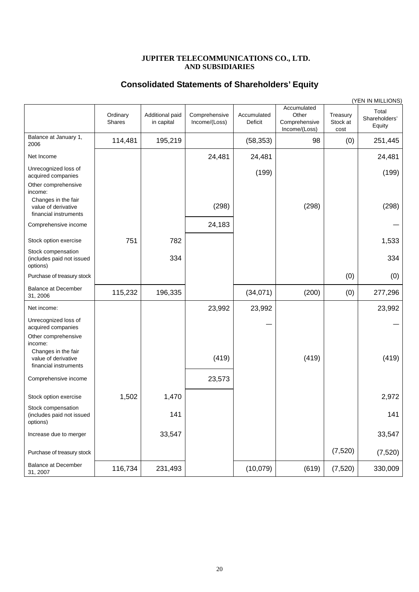#### **JUPITER TELECOMMUNICATIONS CO., LTD. AND SUBSIDIARIES**

#### **Consolidated Statements of Shareholders' Equity**

|                                                                     |                    |                               |                                |                        |                                                        |                              | (YEN IN MILLIONS)                |
|---------------------------------------------------------------------|--------------------|-------------------------------|--------------------------------|------------------------|--------------------------------------------------------|------------------------------|----------------------------------|
|                                                                     | Ordinary<br>Shares | Additional paid<br>in capital | Comprehensive<br>Income/(Loss) | Accumulated<br>Deficit | Accumulated<br>Other<br>Comprehensive<br>Income/(Loss) | Treasury<br>Stock at<br>cost | Total<br>Shareholders'<br>Equity |
| Balance at January 1,<br>2006                                       | 114,481            | 195,219                       |                                | (58, 353)              | 98                                                     | (0)                          | 251,445                          |
| Net Income                                                          |                    |                               | 24,481                         | 24,481                 |                                                        |                              | 24,481                           |
| Unrecognized loss of<br>acquired companies                          |                    |                               |                                | (199)                  |                                                        |                              | (199)                            |
| Other comprehensive<br>income:                                      |                    |                               |                                |                        |                                                        |                              |                                  |
| Changes in the fair<br>value of derivative<br>financial instruments |                    |                               | (298)                          |                        | (298)                                                  |                              | (298)                            |
| Comprehensive income                                                |                    |                               | 24,183                         |                        |                                                        |                              |                                  |
| Stock option exercise                                               | 751                | 782                           |                                |                        |                                                        |                              | 1,533                            |
| Stock compensation<br>(includes paid not issued<br>options)         |                    | 334                           |                                |                        |                                                        |                              | 334                              |
| Purchase of treasury stock                                          |                    |                               |                                |                        |                                                        | (0)                          | (0)                              |
| <b>Balance at December</b><br>31, 2006                              | 115,232            | 196,335                       |                                | (34,071)               | (200)                                                  | (0)                          | 277,296                          |
| Net income:                                                         |                    |                               | 23,992                         | 23,992                 |                                                        |                              | 23,992                           |
| Unrecognized loss of<br>acquired companies                          |                    |                               |                                |                        |                                                        |                              |                                  |
| Other comprehensive<br>income:                                      |                    |                               |                                |                        |                                                        |                              |                                  |
| Changes in the fair<br>value of derivative<br>financial instruments |                    |                               | (419)                          |                        | (419)                                                  |                              | (419)                            |
| Comprehensive income                                                |                    |                               | 23,573                         |                        |                                                        |                              |                                  |
| Stock option exercise                                               | 1,502              | 1,470                         |                                |                        |                                                        |                              | 2,972                            |
| Stock compensation<br>(includes paid not issued<br>options)         |                    | 141                           |                                |                        |                                                        |                              | 141                              |
| Increase due to merger                                              |                    | 33,547                        |                                |                        |                                                        |                              | 33,547                           |
| Purchase of treasury stock                                          |                    |                               |                                |                        |                                                        | (7, 520)                     | (7, 520)                         |
| <b>Balance at December</b><br>31, 2007                              | 116,734            | 231,493                       |                                | (10,079)               | (619)                                                  | (7, 520)                     | 330,009                          |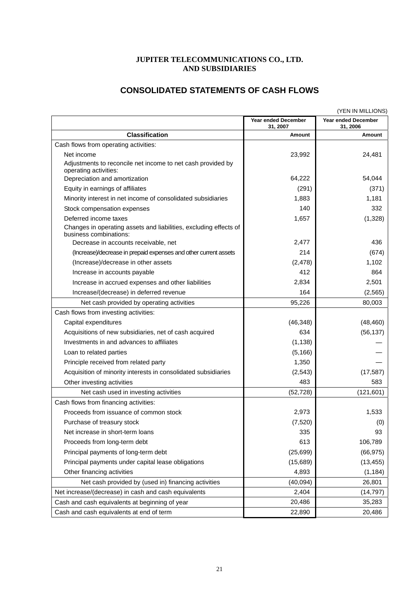# **JUPITER TELECOMMUNICATIONS CO., LTD. AND SUBSIDIARIES**

# **CONSOLIDATED STATEMENTS OF CASH FLOWS**

|                                                                                             |                                        | (YEN IN MILLIONS)                      |
|---------------------------------------------------------------------------------------------|----------------------------------------|----------------------------------------|
|                                                                                             | <b>Year ended December</b><br>31, 2007 | <b>Year ended December</b><br>31, 2006 |
| <b>Classification</b>                                                                       | Amount                                 | Amount                                 |
| Cash flows from operating activities:                                                       |                                        |                                        |
| Net income                                                                                  | 23,992                                 | 24,481                                 |
| Adjustments to reconcile net income to net cash provided by<br>operating activities:        |                                        |                                        |
| Depreciation and amortization                                                               | 64,222                                 | 54,044                                 |
| Equity in earnings of affiliates                                                            | (291)                                  | (371)                                  |
| Minority interest in net income of consolidated subsidiaries                                | 1,883                                  | 1,181                                  |
| Stock compensation expenses                                                                 | 140                                    | 332                                    |
| Deferred income taxes                                                                       | 1,657                                  | (1, 328)                               |
| Changes in operating assets and liabilities, excluding effects of<br>business combinations: |                                        |                                        |
| Decrease in accounts receivable, net                                                        | 2,477                                  | 436                                    |
| (Increase)/decrease in prepaid expenses and other current assets                            | 214                                    | (674)                                  |
| (Increase)/decrease in other assets                                                         | (2, 478)                               | 1,102                                  |
| Increase in accounts payable                                                                | 412                                    | 864                                    |
| Increase in accrued expenses and other liabilities                                          | 2,834                                  | 2,501                                  |
| Increase/(decrease) in deferred revenue                                                     | 164                                    | (2, 565)                               |
| Net cash provided by operating activities                                                   | 95,226                                 | 80,003                                 |
| Cash flows from investing activities:                                                       |                                        |                                        |
| Capital expenditures                                                                        | (46, 348)                              | (48, 460)                              |
| Acquisitions of new subsidiaries, net of cash acquired                                      | 634                                    | (56, 137)                              |
| Investments in and advances to affiliates                                                   | (1, 138)                               |                                        |
| Loan to related parties                                                                     | (5, 166)                               |                                        |
| Principle received from related party                                                       | 1,350                                  |                                        |
| Acquisition of minority interests in consolidated subsidiaries                              | (2, 543)                               | (17, 587)                              |
| Other investing activities                                                                  | 483                                    | 583                                    |
| Net cash used in investing activities                                                       | (52, 728)                              | (121, 601)                             |
| Cash flows from financing activities:                                                       |                                        |                                        |
| Proceeds from issuance of common stock                                                      | 2,973                                  | 1,533                                  |
| Purchase of treasury stock                                                                  | (7, 520)                               | (0)                                    |
| Net increase in short-term loans                                                            | 335                                    | 93                                     |
| Proceeds from long-term debt                                                                | 613                                    | 106,789                                |
| Principal payments of long-term debt                                                        | (25, 699)                              | (66, 975)                              |
| Principal payments under capital lease obligations                                          | (15,689)                               | (13, 455)                              |
| Other financing activities                                                                  | 4,893                                  | (1, 184)                               |
| Net cash provided by (used in) financing activities                                         | (40, 094)                              | 26,801                                 |
| Net increase/(decrease) in cash and cash equivalents                                        | 2,404                                  | (14, 797)                              |
| Cash and cash equivalents at beginning of year                                              | 20,486                                 | 35,283                                 |
| Cash and cash equivalents at end of term                                                    | 22,890                                 | 20,486                                 |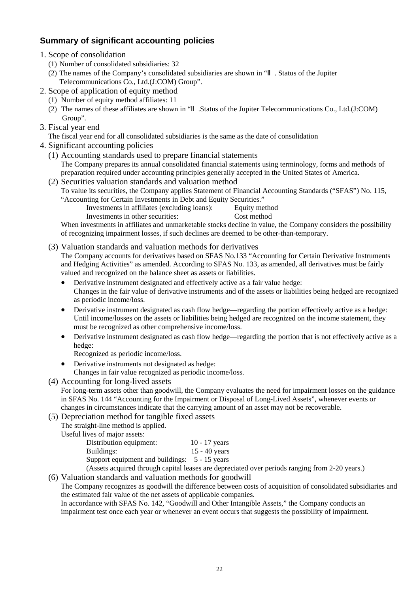# **Summary of significant accounting policies**

- 1. Scope of consolidation
	- (1) Number of consolidated subsidiaries: 32
	- (2) The names of the Company's consolidated subsidiaries are shown in " . Status of the Jupiter Telecommunications Co., Ltd.(J:COM) Group".
- 2. Scope of application of equity method
	- (1) Number of equity method affiliates: 11
	- (2) The names of these affiliates are shown in " .Status of the Jupiter Telecommunications Co., Ltd.(J:COM) Group".
- 3. Fiscal year end
	- The fiscal year end for all consolidated subsidiaries is the same as the date of consolidation
- 4. Significant accounting policies
	- (1) Accounting standards used to prepare financial statements The Company prepares its annual consolidated financial statements using terminology, forms and methods of preparation required under accounting principles generally accepted in the United States of America.
	- (2) Securities valuation standards and valuation method
		- To value its securities, the Company applies Statement of Financial Accounting Standards ("SFAS") No. 115, "Accounting for Certain Investments in Debt and Equity Securities."
			- Investments in affiliates (excluding loans): Equity method
				- Investments in other securities: Cost method

When investments in affiliates and unmarketable stocks decline in value, the Company considers the possibility of recognizing impairment losses, if such declines are deemed to be other-than-temporary.

(3) Valuation standards and valuation methods for derivatives

The Company accounts for derivatives based on SFAS No.133 "Accounting for Certain Derivative Instruments and Hedging Activities" as amended. According to SFAS No. 133, as amended, all derivatives must be fairly valued and recognized on the balance sheet as assets or liabilities.

- Derivative instrument designated and effectively active as a fair value hedge: Changes in the fair value of derivative instruments and of the assets or liabilities being hedged are recognized as periodic income/loss.
- Derivative instrument designated as cash flow hedge—regarding the portion effectively active as a hedge: Until income/losses on the assets or liabilities being hedged are recognized on the income statement, they must be recognized as other comprehensive income/loss.
- Derivative instrument designated as cash flow hedge—regarding the portion that is not effectively active as a hedge:

Recognized as periodic income/loss.

- Derivative instruments not designated as hedge: Changes in fair value recognized as periodic income/loss.
- (4) Accounting for long-lived assets

For long-term assets other than goodwill, the Company evaluates the need for impairment losses on the guidance in SFAS No. 144 "Accounting for the Impairment or Disposal of Long-Lived Assets", whenever events or changes in circumstances indicate that the carrying amount of an asset may not be recoverable.

(5) Depreciation method for tangible fixed assets

The straight-line method is applied.

Useful lives of major assets:

| Distribution equipment:                            | $10 - 17$ years |
|----------------------------------------------------|-----------------|
| Buildings:                                         | $15 - 40$ years |
| Support equipment and buildings: 5 - 15 years      |                 |
| A seate acquired through capital leases are depres |                 |

(Assets acquired through capital leases are depreciated over periods ranging from 2-20 years.)

(6) Valuation standards and valuation methods for goodwill

The Company recognizes as goodwill the difference between costs of acquisition of consolidated subsidiaries and the estimated fair value of the net assets of applicable companies.

In accordance with SFAS No. 142, "Goodwill and Other Intangible Assets," the Company conducts an impairment test once each year or whenever an event occurs that suggests the possibility of impairment.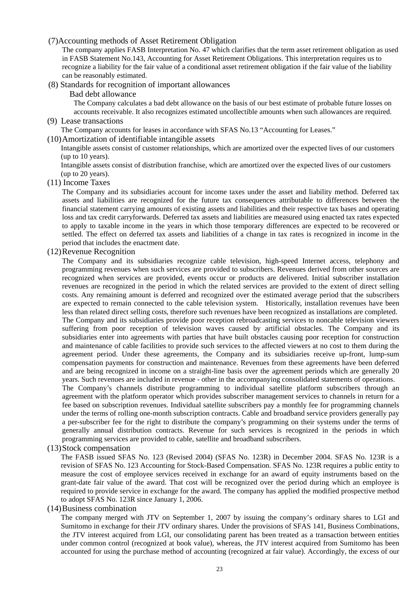#### (7)Accounting methods of Asset Retirement Obligation

The company applies FASB Interpretation No. 47 which clarifies that the term asset retirement obligation as used in FASB Statement No.143, Accounting for Asset Retirement Obligations. This interpretation requires us to recognize a liability for the fair value of a conditional asset retirement obligation if the fair value of the liability can be reasonably estimated.

#### (8) Standards for recognition of important allowances

#### Bad debt allowance

The Company calculates a bad debt allowance on the basis of our best estimate of probable future losses on accounts receivable. It also recognizes estimated uncollectible amounts when such allowances are required.

#### (9) Lease transactions

The Company accounts for leases in accordance with SFAS No.13 "Accounting for Leases."

#### (10) Amortization of identifiable intangible assets

Intangible assets consist of customer relationships, which are amortized over the expected lives of our customers (up to 10 years).

Intangible assets consist of distribution franchise, which are amortized over the expected lives of our customers (up to 20 years).

#### (11) Income Taxes

The Company and its subsidiaries account for income taxes under the asset and liability method. Deferred tax assets and liabilities are recognized for the future tax consequences attributable to differences between the financial statement carrying amounts of existing assets and liabilities and their respective tax bases and operating loss and tax credit carryforwards. Deferred tax assets and liabilities are measured using enacted tax rates expected to apply to taxable income in the years in which those temporary differences are expected to be recovered or settled. The effect on deferred tax assets and liabilities of a change in tax rates is recognized in income in the period that includes the enactment date.

#### (12) Revenue Recognition

The Company and its subsidiaries recognize cable television, high-speed Internet access, telephony and programming revenues when such services are provided to subscribers. Revenues derived from other sources are recognized when services are provided, events occur or products are delivered. Initial subscriber installation revenues are recognized in the period in which the related services are provided to the extent of direct selling costs. Any remaining amount is deferred and recognized over the estimated average period that the subscribers are expected to remain connected to the cable television system. Historically, installation revenues have been less than related direct selling costs, therefore such revenues have been recognized as installations are completed.

The Company and its subsidiaries provide poor reception rebroadcasting services to noncable television viewers suffering from poor reception of television waves caused by artificial obstacles. The Company and its subsidiaries enter into agreements with parties that have built obstacles causing poor reception for construction and maintenance of cable facilities to provide such services to the affected viewers at no cost to them during the agreement period. Under these agreements, the Company and its subsidiaries receive up-front, lump-sum compensation payments for construction and maintenance. Revenues from these agreements have been deferred and are being recognized in income on a straight-line basis over the agreement periods which are generally 20 years. Such revenues are included in revenue - other in the accompanying consolidated statements of operations.

The Company's channels distribute programming to individual satellite platform subscribers through an agreement with the platform operator which provides subscriber management services to channels in return for a fee based on subscription revenues. Individual satellite subscribers pay a monthly fee for programming channels under the terms of rolling one-month subscription contracts. Cable and broadband service providers generally pay a per-subscriber fee for the right to distribute the company's programming on their systems under the terms of generally annual distribution contracts. Revenue for such services is recognized in the periods in which programming services are provided to cable, satellite and broadband subscribers.

#### (13) Stock compensation

The FASB issued SFAS No. 123 (Revised 2004) (SFAS No. 123R) in December 2004. SFAS No. 123R is a revision of SFAS No. 123 Accounting for Stock-Based Compensation. SFAS No. 123R requires a public entity to measure the cost of employee services received in exchange for an award of equity instruments based on the grant-date fair value of the award. That cost will be recognized over the period during which an employee is required to provide service in exchange for the award. The company has applied the modified prospective method to adopt SFAS No. 123R since January 1, 2006.

#### (14) Business combination

The company merged with JTV on September 1, 2007 by issuing the company's ordinary shares to LGI and Sumitomo in exchange for their JTV ordinary shares. Under the provisions of SFAS 141, Business Combinations, the JTV interest acquired from LGI, our consolidating parent has been treated as a transaction between entities under common control (recognized at book value), whereas, the JTV interest acquired from Sumitomo has been accounted for using the purchase method of accounting (recognized at fair value). Accordingly, the excess of our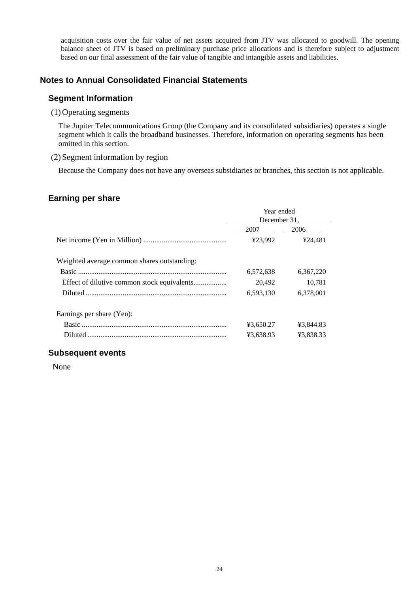acquisition costs over the fair value of net assets acquired from JTV was allocated to goodwill. The opening balance sheet of JTV is based on preliminary purchase price allocations and is therefore subject to adjustment based on our final assessment of the fair value of tangible and intangible assets and liabilities.

### **Notes to Annual Consolidated Financial Statements**

#### **Segment Information**

#### (1) Operating segments

The Jupiter Telecommunications Group (the Company and its consolidated subsidiaries) operates a single segment which it calls the broadband businesses. Therefore, information on operating segments has been omitted in this section.

#### (2) Segment information by region

Because the Company does not have any overseas subsidiaries or branches, this section is not applicable.

# **Earning per share**

|                                             | Year ended<br>December 31. |           |  |
|---------------------------------------------|----------------------------|-----------|--|
|                                             | 2007                       | 2006      |  |
|                                             | ¥23,992                    | ¥24,481   |  |
| Weighted average common shares outstanding: |                            |           |  |
|                                             | 6,572,638                  | 6,367,220 |  |
|                                             | 20,492                     | 10,781    |  |
|                                             | 6,593,130                  | 6,378,001 |  |
| Earnings per share (Yen):                   |                            |           |  |
|                                             | ¥3.650.27                  | ¥3,844.83 |  |
|                                             | ¥3,638.93                  | ¥3.838.33 |  |

### **Subsequent events**

None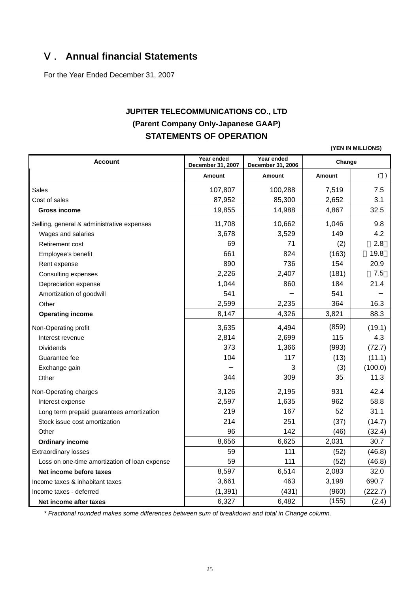# Ⅴ. **Annual financial Statements**

For the Year Ended December 31, 2007

# **JUPITER TELECOMMUNICATIONS CO., LTD (Parent Company Only-Japanese GAAP) STATEMENTS OF OPERATION**

**(YEN IN MILLIONS)**

| <b>Account</b>                                | Year ended<br>December 31, 2007 | Year ended<br>December 31, 2006 | Change        |         |  |
|-----------------------------------------------|---------------------------------|---------------------------------|---------------|---------|--|
|                                               | <b>Amount</b>                   | <b>Amount</b>                   | <b>Amount</b> | ( )     |  |
| <b>Sales</b>                                  | 107,807                         | 100,288                         | 7,519         | 7.5     |  |
| Cost of sales                                 | 87,952                          | 85,300                          | 2,652         | 3.1     |  |
| <b>Gross income</b>                           | 19,855                          | 14,988                          | 4,867         | 32.5    |  |
| Selling, general & administrative expenses    | 11,708                          | 10,662                          | 1,046         | 9.8     |  |
| Wages and salaries                            | 3,678                           | 3,529                           | 149           | 4.2     |  |
| Retirement cost                               | 69                              | 71                              | (2)           | 2.8     |  |
| Employee's benefit                            | 661                             | 824                             | (163)         | 19.8    |  |
| Rent expense                                  | 890                             | 736                             | 154           | 20.9    |  |
| Consulting expenses                           | 2,226                           | 2,407                           | (181)         | 7.5     |  |
| Depreciation expense                          | 1,044                           | 860                             | 184           | 21.4    |  |
| Amortization of goodwill                      | 541                             |                                 | 541           |         |  |
| Other                                         | 2,599                           | 2,235                           | 364           | 16.3    |  |
| <b>Operating income</b>                       | 8,147                           | 4,326                           | 3,821         | 88.3    |  |
| Non-Operating profit                          | 3,635                           | 4,494                           | (859)         | (19.1)  |  |
| Interest revenue                              | 2,814                           | 2,699                           | 115           | 4.3     |  |
| <b>Dividends</b>                              | 373                             | 1,366                           | (993)         | (72.7)  |  |
| Guarantee fee                                 | 104                             | 117                             | (13)          | (11.1)  |  |
| Exchange gain                                 |                                 | 3                               | (3)           | (100.0) |  |
| Other                                         | 344                             | 309                             | 35            | 11.3    |  |
| Non-Operating charges                         | 3,126                           | 2,195                           | 931           | 42.4    |  |
| Interest expense                              | 2,597                           | 1,635                           | 962           | 58.8    |  |
| Long term prepaid guarantees amortization     | 219                             | 167                             | 52            | 31.1    |  |
| Stock issue cost amortization                 | 214                             | 251                             | (37)          | (14.7)  |  |
| Other                                         | 96                              | 142                             | (46)          | (32.4)  |  |
| <b>Ordinary income</b>                        | 8,656                           | 6,625                           | 2,031         | 30.7    |  |
| <b>Extraordinary losses</b>                   | 59                              | 111                             | (52)          | (46.8)  |  |
| Loss on one-time amortization of loan expense | 59                              | 111                             | (52)          | (46.8)  |  |
| Net income before taxes                       | 8,597                           | 6,514                           | 2,083         | 32.0    |  |
| Income taxes & inhabitant taxes               | 3,661                           | 463                             | 3,198         | 690.7   |  |
| Income taxes - deferred                       | (1, 391)                        | (431)                           | (960)         | (222.7) |  |
| Net income after taxes                        | 6,327                           | 6,482                           | (155)         | (2.4)   |  |

*\* Fractional rounded makes some differences between sum of breakdown and total in Change column.*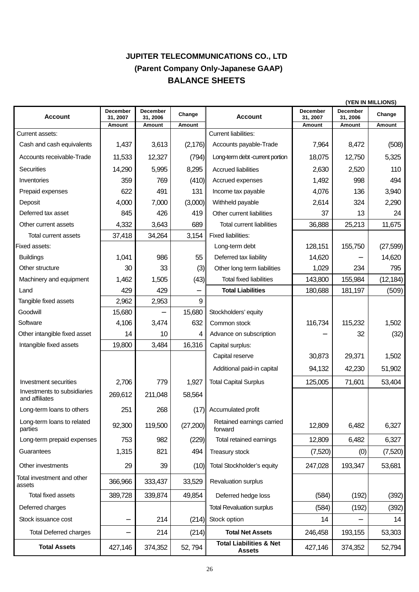# **JUPITER TELECOMMUNICATIONS CO., LTD (Parent Company Only-Japanese GAAP) BALANCE SHEETS**

|                                               |                      |                             | (YEN IN MILLIONS) |                                                     |                      |                      |           |
|-----------------------------------------------|----------------------|-----------------------------|-------------------|-----------------------------------------------------|----------------------|----------------------|-----------|
| <b>Account</b>                                | December<br>31, 2007 | <b>December</b><br>31, 2006 | Change            | <b>Account</b>                                      | December<br>31, 2007 | December<br>31, 2006 | Change    |
|                                               | Amount               | Amount                      | Amount            |                                                     | Amount               | Amount               | Amount    |
| Current assets:                               |                      |                             |                   | <b>Current liabilities:</b>                         |                      |                      |           |
| Cash and cash equivalents                     | 1,437                | 3,613                       | (2, 176)          | Accounts payable-Trade                              | 7,964                | 8,472                | (508)     |
| Accounts receivable-Trade                     | 11,533               | 12,327                      | (794)             | Long-term debt -current portion                     | 18,075               | 12,750               | 5,325     |
| Securities                                    | 14,290               | 5,995                       | 8,295             | <b>Accrued liabilities</b>                          | 2,630                | 2,520                | 110       |
| Inventories                                   | 359                  | 769                         | (410)             | Accrued expenses                                    | 1,492                | 998                  | 494       |
| Prepaid expenses                              | 622                  | 491                         | 131               | Income tax payable                                  | 4,076                | 136                  | 3,940     |
| Deposit                                       | 4,000                | 7,000                       | (3,000)           | Withheld payable                                    | 2,614                | 324                  | 2,290     |
| Deferred tax asset                            | 845                  | 426                         | 419               | Other current liabilities                           | 37                   | 13                   | 24        |
| Other current assets                          | 4,332                | 3,643                       | 689               | <b>Total current liabilities</b>                    | 36,888               | 25,213               | 11,675    |
| Total current assets                          | 37,418               | 34,264                      | 3,154             | <b>Fixed liabilities:</b>                           |                      |                      |           |
| Fixed assets:                                 |                      |                             |                   | Long-term debt                                      | 128,151              | 155,750              | (27, 599) |
| <b>Buildings</b>                              | 1,041                | 986                         | 55                | Deferred tax liability                              | 14,620               |                      | 14,620    |
| Other structure                               | 30                   | 33                          | (3)               | Other long term liabilities                         | 1,029                | 234                  | 795       |
| Machinery and equipment                       | 1,462                | 1,505                       | (43)              | <b>Total fixed liabilities</b>                      | 143,800              | 155,984              | (12, 184) |
| Land                                          | 429                  | 429                         |                   | <b>Total Liabilities</b>                            | 180,688              | 181,197              | (509)     |
| Tangible fixed assets                         | 2,962                | 2,953                       | 9                 |                                                     |                      |                      |           |
| Goodwill                                      | 15,680               |                             | 15,680            | Stockholders' equity                                |                      |                      |           |
| Software                                      | 4,106                | 3,474                       | 632               | Common stock                                        | 116,734              | 115,232              | 1,502     |
| Other intangible fixed asset                  | 14                   | 10                          | 4                 | Advance on subscription                             |                      | 32                   | (32)      |
| Intangible fixed assets                       | 19,800               | 3,484                       | 16,316            | Capital surplus:                                    |                      |                      |           |
|                                               |                      |                             |                   | Capital reserve                                     | 30,873               | 29,371               | 1,502     |
|                                               |                      |                             |                   | Additional paid-in capital                          | 94,132               | 42,230               | 51,902    |
| Investment securities                         | 2,706                | 779                         | 1,927             | <b>Total Capital Surplus</b>                        | 125,005              | 71,601               | 53,404    |
| Investments to subsidiaries<br>and affiliates | 269,612              | 211,048                     | 58,564            |                                                     |                      |                      |           |
| Long-term loans to others                     | 251                  | 268                         |                   | (17) Accumulated profit                             |                      |                      |           |
| Long-term loans to related<br>parties         | 92,300               | 119,500                     | (27, 200)         | Retained earnings carried<br>forward                | 12,809               | 6,482                | 6,327     |
| Long-term prepaid expenses                    | 753                  | 982                         | (229)             | Total retained earnings                             | 12,809               | 6,482                | 6,327     |
| Guarantees                                    | 1,315                | 821                         | 494               | Treasury stock                                      | (7,520)              | (0)                  | (7,520)   |
| Other investments                             | 29                   | 39                          | (10)              | Total Stockholder's equity                          | 247,028              | 193,347              | 53,681    |
| Total investment and other<br>assets          | 366,966              | 333,437                     | 33,529            | Revaluation surplus                                 |                      |                      |           |
| Total fixed assets                            | 389,728              | 339,874                     | 49,854            | Deferred hedge loss                                 | (584)                | (192)                | (392)     |
| Deferred charges                              |                      |                             |                   | <b>Total Revaluation surplus</b>                    | (584)                | (192)                | (392)     |
| Stock issuance cost                           |                      | 214                         | (214)             | Stock option                                        | 14                   |                      | 14        |
| <b>Total Deferred charges</b>                 |                      | 214                         | (214)             | <b>Total Net Assets</b>                             | 246,458              | 193,155              | 53,303    |
| <b>Total Assets</b>                           | 427,146              | 374,352                     | 52, 794           | <b>Total Liabilities &amp; Net</b><br><b>Assets</b> | 427,146              | 374,352              | 52,794    |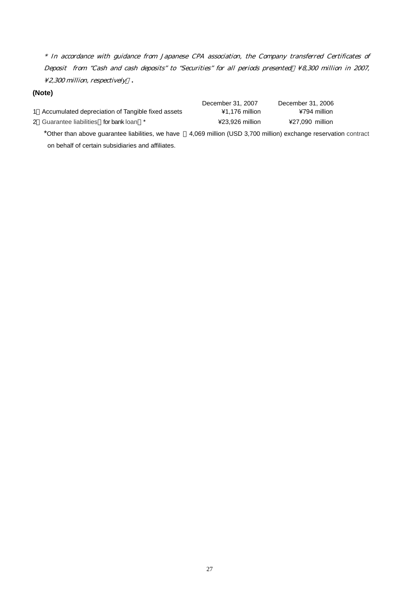$^{\ast}$  In accordance with guidance from Japanese CPA association, the Company transferred Certificates of Deposit from "Cash and cash deposits" to "Securities" for all periods presented ¥8,300 million in 2007, ¥2,300 million, respectively **.** 

#### **(Note)**

| 1 Accumulated depreciation of Tangible fixed assets |  |  |
|-----------------------------------------------------|--|--|

2 Guarantee liabilities for bank loan \* ¥23,926 million ¥27,090 million

December 31, 2007 December 31, 2006 1 Accumulated depreciation of Tangible fixed assets ¥1,176 million ¥794 million

on behalf of certain subsidiaries and affiliates.

\*Other than above guarantee liabilities, we have 4,069 million (USD 3,700 million) exchange reservation contract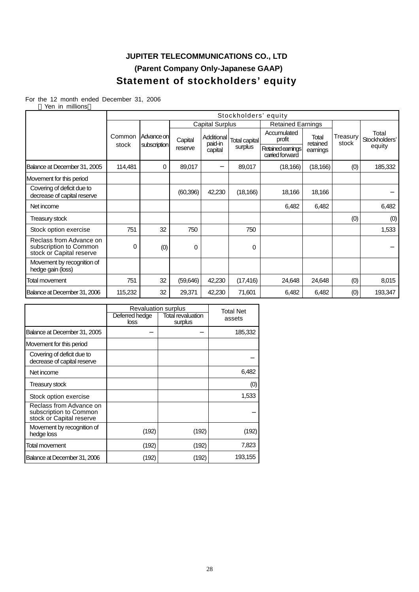# **JUPITER TELECOMMUNICATIONS CO., LTD (Parent Company Only-Japanese GAAP) Statement of stockholders' equity**

For the 12 month ended December 31, 2006

| Yen in millions                                                               |                 |                      |           |                        |               |                                      |                   |                   |                        |  |
|-------------------------------------------------------------------------------|-----------------|----------------------|-----------|------------------------|---------------|--------------------------------------|-------------------|-------------------|------------------------|--|
|                                                                               |                 | Stockholders' equity |           |                        |               |                                      |                   |                   |                        |  |
|                                                                               |                 |                      |           | <b>Capital Surplus</b> |               | <b>Retained Earnings</b>             |                   |                   |                        |  |
|                                                                               | Common<br>stock | Advance on           | Capital   | Additional<br>paid-in  | Total capital | Accumulated<br>profit                | Total<br>retained | Treasury<br>stock | Total<br>Stockholders' |  |
|                                                                               |                 | subscription         | reserve   | capital                | surplus       | Retained earnings<br>carried forward | earnings          |                   | equity                 |  |
| Balance at December 31, 2005                                                  | 114,481         | 0                    | 89,017    |                        | 89,017        | (18, 166)                            | (18, 166)         | (0)               | 185,332                |  |
| Movement for this period                                                      |                 |                      |           |                        |               |                                      |                   |                   |                        |  |
| Covering of deficit due to<br>decrease of capital reserve                     |                 |                      | (60, 396) | 42,230                 | (18, 166)     | 18,166                               | 18,166            |                   |                        |  |
| Net income                                                                    |                 |                      |           |                        |               | 6,482                                | 6,482             |                   | 6,482                  |  |
| Treasury stock                                                                |                 |                      |           |                        |               |                                      |                   | (0)               | (0)                    |  |
| Stock option exercise                                                         | 751             | 32                   | 750       |                        | 750           |                                      |                   |                   | 1,533                  |  |
| Reclass from Advance on<br>subscription to Common<br>stock or Capital reserve | 0               | (0)                  | 0         |                        | 0             |                                      |                   |                   |                        |  |
| Movement by recognition of<br>hedge gain (loss)                               |                 |                      |           |                        |               |                                      |                   |                   |                        |  |
| Total movement                                                                | 751             | 32                   | (59, 646) | 42,230                 | (17, 416)     | 24,648                               | 24,648            | (0)               | 8,015                  |  |
| Balance at December 31, 2006                                                  | 115,232         | 32                   | 29,371    | 42,230                 | 71,601        | 6,482                                | 6,482             | (0)               | 193,347                |  |

|                                                                               | <b>Revaluation surplus</b> | <b>Total Net</b>             |         |
|-------------------------------------------------------------------------------|----------------------------|------------------------------|---------|
|                                                                               | Deferred hedge<br>loss     | Total revaluation<br>surplus | assets  |
| Balance at December 31, 2005                                                  |                            |                              | 185,332 |
| Movement for this period                                                      |                            |                              |         |
| Covering of deficit due to<br>decrease of capital reserve                     |                            |                              |         |
| Net income                                                                    |                            |                              | 6,482   |
| <b>Treasury stock</b>                                                         |                            |                              | (0)     |
| Stock option exercise                                                         |                            |                              | 1,533   |
| Reclass from Advance on<br>subscription to Common<br>stock or Capital reserve |                            |                              |         |
| Movement by recognition of<br>hedge loss                                      | (192)                      | (192)                        | (192)   |
| Total movement                                                                | (192)                      | (192)                        | 7,823   |
| Balance at December 31, 2006                                                  | (192)                      | (192)                        | 193,155 |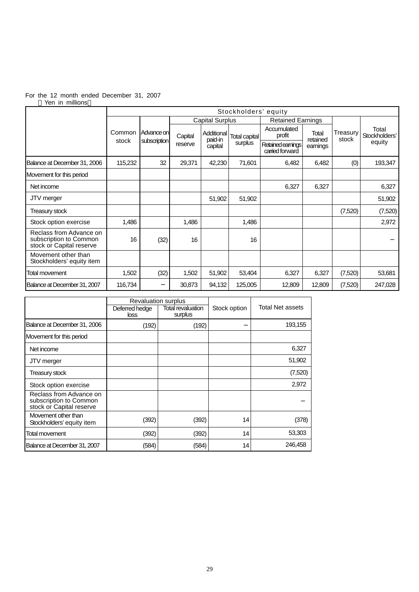#### For the 12 month ended December 31, 2007 Yen in millions

|                                                                               |         | Stockholders' equity |         |                        |                                 |                                      |                   |                   |                        |
|-------------------------------------------------------------------------------|---------|----------------------|---------|------------------------|---------------------------------|--------------------------------------|-------------------|-------------------|------------------------|
|                                                                               |         |                      |         | <b>Capital Surplus</b> |                                 | <b>Retained Earnings</b>             |                   |                   |                        |
|                                                                               | Common  | Advance on           | Capital | Additional<br>paid-in  | <b>Total capital</b><br>surplus | Accumulated<br>profit                | Total<br>retained | Treasury<br>stock | Total<br>Stockholders' |
|                                                                               | stock   | subscription         | reserve | capital                |                                 | Retained earnings<br>carried forward | earnings          |                   | equity                 |
| Balance at December 31, 2006                                                  | 115,232 | 32                   | 29,371  | 42,230                 | 71,601                          | 6,482                                | 6,482             | (0)               | 193,347                |
| Movement for this period                                                      |         |                      |         |                        |                                 |                                      |                   |                   |                        |
| Net income                                                                    |         |                      |         |                        |                                 | 6,327                                | 6,327             |                   | 6,327                  |
| JTV merger                                                                    |         |                      |         | 51,902                 | 51,902                          |                                      |                   |                   | 51,902                 |
| <b>Treasury stock</b>                                                         |         |                      |         |                        |                                 |                                      |                   | (7,520)           | (7,520)                |
| Stock option exercise                                                         | 1,486   |                      | 1,486   |                        | 1,486                           |                                      |                   |                   | 2,972                  |
| Reclass from Advance on<br>subscription to Common<br>stock or Capital reserve | 16      | (32)                 | 16      |                        | 16                              |                                      |                   |                   |                        |
| Movement other than<br>Stockholders' equity item                              |         |                      |         |                        |                                 |                                      |                   |                   |                        |
| Total movement                                                                | 1,502   | (32)                 | 1,502   | 51,902                 | 53,404                          | 6,327                                | 6,327             | (7,520)           | 53,681                 |
| Balance at December 31, 2007                                                  | 116,734 |                      | 30,873  | 94,132                 | 125,005                         | 12,809                               | 12,809            | (7,520)           | 247,028                |

|                                                                               | <b>Revaluation surplus</b> |                              |              |                         |
|-------------------------------------------------------------------------------|----------------------------|------------------------------|--------------|-------------------------|
|                                                                               | Deferred hedge<br>loss     | Total revaluation<br>surplus | Stock option | <b>Total Net assets</b> |
| Balance at December 31, 2006                                                  | (192)                      | (192)                        |              | 193,155                 |
| Movement for this period                                                      |                            |                              |              |                         |
| Net income                                                                    |                            |                              |              | 6,327                   |
| JTV merger                                                                    |                            |                              |              | 51,902                  |
| Treasury stock                                                                |                            |                              |              | (7,520)                 |
| Stock option exercise                                                         |                            |                              |              | 2,972                   |
| Reclass from Advance on<br>subscription to Common<br>stock or Capital reserve |                            |                              |              |                         |
| Movement other than<br>Stockholders' equity item                              | (392)                      | (392)                        | 14           | (378)                   |
| Total movement                                                                | (392)                      | (392)                        | 14           | 53,303                  |
| Balance at December 31, 2007                                                  | (584)                      | (584)                        | 14           | 246,458                 |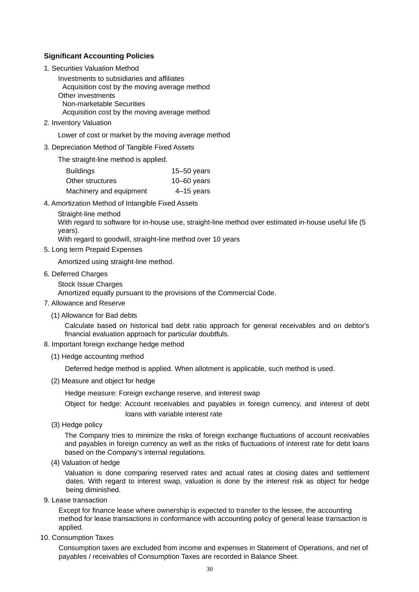#### **Significant Accounting Policies**

1. Securities Valuation Method

Investments to subsidiaries and affiliates Acquisition cost by the moving average method Other investments Non-marketable Securities Acquisition cost by the moving average method

2. Inventory Valuation

Lower of cost or market by the moving average method

3. Depreciation Method of Tangible Fixed Assets

The straight-line method is applied.

| <b>Buildings</b>        | $15 - 50$ years |
|-------------------------|-----------------|
| Other structures        | $10 - 60$ years |
| Machinery and equipment | $4-15$ years    |

4. Amortization Method of Intangible Fixed Assets

Straight-line method

With regard to software for in-house use, straight-line method over estimated in-house useful life (5 years).

With regard to goodwill, straight-line method over 10 years

5. Long term Prepaid Expenses

Amortized using straight-line method.

- 6. Deferred Charges
	- Stock Issue Charges

Amortized equally pursuant to the provisions of the Commercial Code.

- 7. Allowance and Reserve
	- (1) Allowance for Bad debts

Calculate based on historical bad debt ratio approach for general receivables and on debtor's financial evaluation approach for particular doubtfuls.

- 8. Important foreign exchange hedge method
	- (1) Hedge accounting method

Deferred hedge method is applied. When allotment is applicable, such method is used.

(2) Measure and object for hedge

Hedge measure: Foreign exchange reserve, and interest swap

Object for hedge: Account receivables and payables in foreign currency, and interest of debt loans with variable interest rate

(3) Hedge policy

The Company tries to minimize the risks of foreign exchange fluctuations of account receivables and payables in foreign currency as well as the risks of fluctuations of interest rate for debt loans based on the Company's internal regulations.

(4) Valuation of hedge

Valuation is done comparing reserved rates and actual rates at closing dates and settlement dates. With regard to interest swap, valuation is done by the interest risk as object for hedge being diminished.

9. Lease transaction

Except for finance lease where ownership is expected to transfer to the lessee, the accounting method for lease transactions in conformance with accounting policy of general lease transaction is applied.

10. Consumption Taxes

Consumption taxes are excluded from income and expenses in Statement of Operations, and net of payables / receivables of Consumption Taxes are recorded in Balance Sheet.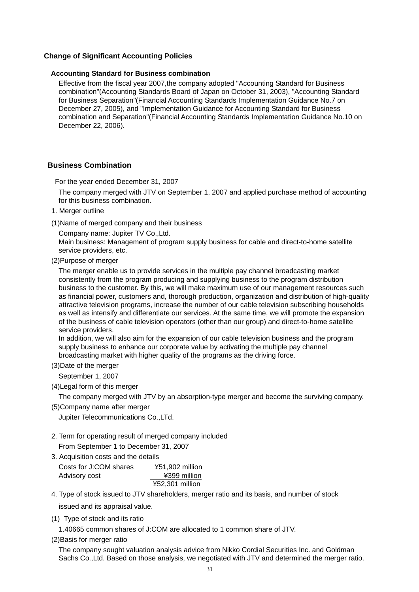#### **Change of Significant Accounting Policies**

#### **Accounting Standard for Business combination**

Effective from the fiscal year 2007,the company adopted "Accounting Standard for Business combination"(Accounting Standards Board of Japan on October 31, 2003), "Accounting Standard for Business Separation"(Financial Accounting Standards Implementation Guidance No.7 on December 27, 2005), and "Implementation Guidance for Accounting Standard for Business combination and Separation"(Financial Accounting Standards Implementation Guidance No.10 on December 22, 2006).

#### **Business Combination**

For the year ended December 31, 2007

The company merged with JTV on September 1, 2007 and applied purchase method of accounting for this business combination.

1. Merger outline

(1)Name of merged company and their business

Company name: Jupiter TV Co.,Ltd.

Main business: Management of program supply business for cable and direct-to-home satellite service providers, etc.

(2)Purpose of merger

The merger enable us to provide services in the multiple pay channel broadcasting market consistently from the program producing and supplying business to the program distribution business to the customer. By this, we will make maximum use of our management resources such as financial power, customers and, thorough production, organization and distribution of high-quality attractive television programs, increase the number of our cable television subscribing households as well as intensify and differentiate our services. At the same time, we will promote the expansion of the business of cable television operators (other than our group) and direct-to-home satellite service providers.

In addition, we will also aim for the expansion of our cable television business and the program supply business to enhance our corporate value by activating the multiple pay channel broadcasting market with higher quality of the programs as the driving force.

(3)Date of the merger

September 1, 2007

(4)Legal form of this merger

The company merged with JTV by an absorption-type merger and become the surviving company.

(5)Company name after merger

Jupiter Telecommunications Co.,LTd.

2. Term for operating result of merged company included

From September 1 to December 31, 2007

3. Acquisition costs and the details

| Costs for J:COM shares | ¥51,902 million |
|------------------------|-----------------|
| Advisory cost          | ¥399 million    |
|                        | ¥52,301 million |

4. Type of stock issued to JTV shareholders, merger ratio and its basis, and number of stock

issued and its appraisal value.

(1) Type of stock and its ratio

1.40665 common shares of J:COM are allocated to 1 common share of JTV.

(2)Basis for merger ratio

The company sought valuation analysis advice from Nikko Cordial Securities Inc. and Goldman Sachs Co.,Ltd. Based on those analysis, we negotiated with JTV and determined the merger ratio.